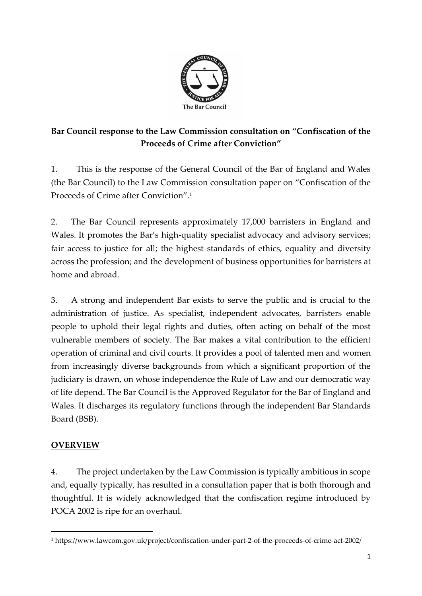

# **Bar Council response to the Law Commission consultation on "Confiscation of the Proceeds of Crime after Conviction"**

1. This is the response of the General Council of the Bar of England and Wales (the Bar Council) to the Law Commission consultation paper on "Confiscation of the Proceeds of Crime after Conviction". 1

2. The Bar Council represents approximately 17,000 barristers in England and Wales. It promotes the Bar's high-quality specialist advocacy and advisory services; fair access to justice for all; the highest standards of ethics, equality and diversity across the profession; and the development of business opportunities for barristers at home and abroad.

3. A strong and independent Bar exists to serve the public and is crucial to the administration of justice. As specialist, independent advocates, barristers enable people to uphold their legal rights and duties, often acting on behalf of the most vulnerable members of society. The Bar makes a vital contribution to the efficient operation of criminal and civil courts. It provides a pool of talented men and women from increasingly diverse backgrounds from which a significant proportion of the judiciary is drawn, on whose independence the Rule of Law and our democratic way of life depend. The Bar Council is the Approved Regulator for the Bar of England and Wales. It discharges its regulatory functions through the independent Bar Standards Board (BSB).

# **OVERVIEW**

4. The project undertaken by the Law Commission is typically ambitious in scope and, equally typically, has resulted in a consultation paper that is both thorough and thoughtful. It is widely acknowledged that the confiscation regime introduced by POCA 2002 is ripe for an overhaul.

<sup>1</sup> https://www.lawcom.gov.uk/project/confiscation-under-part-2-of-the-proceeds-of-crime-act-2002/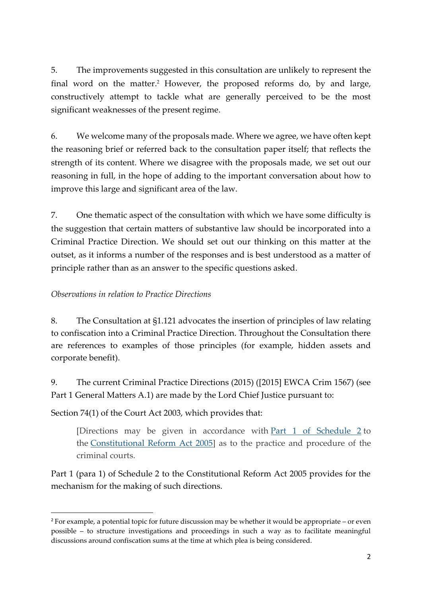5. The improvements suggested in this consultation are unlikely to represent the final word on the matter. <sup>2</sup> However, the proposed reforms do, by and large, constructively attempt to tackle what are generally perceived to be the most significant weaknesses of the present regime.

6. We welcome many of the proposals made. Where we agree, we have often kept the reasoning brief or referred back to the consultation paper itself; that reflects the strength of its content. Where we disagree with the proposals made, we set out our reasoning in full, in the hope of adding to the important conversation about how to improve this large and significant area of the law.

7. One thematic aspect of the consultation with which we have some difficulty is the suggestion that certain matters of substantive law should be incorporated into a Criminal Practice Direction. We should set out our thinking on this matter at the outset, as it informs a number of the responses and is best understood as a matter of principle rather than as an answer to the specific questions asked.

## *Observations in relation to Practice Directions*

8. The Consultation at §1.121 advocates the insertion of principles of law relating to confiscation into a Criminal Practice Direction. Throughout the Consultation there are references to examples of those principles (for example, hidden assets and corporate benefit).

9. The current Criminal Practice Directions (2015) ([2015] EWCA Crim 1567) (see Part 1 General Matters A.1) are made by the Lord Chief Justice pursuant to:

Section 74(1) of the Court Act 2003, which provides that:

[Directions may be given in accordance with Part 1 of [Schedule](https://uk.practicallaw.thomsonreuters.com/Document/I267213E0E4A811DA9407CBB86AE37856/View/FullText.html?originationContext=document&transitionType=DocumentItem&contextData=(sc.DocLink)) 2 to the [Constitutional](https://uk.practicallaw.thomsonreuters.com/Document/I5D1A6490E42311DAA7CF8F68F6EE57AB/View/FullText.html?originationContext=document&transitionType=DocumentItem&contextData=%28sc.DocLink%29&comp=wluk) Reform Act 2005] as to the practice and procedure of the criminal courts.

Part 1 (para 1) of Schedule 2 to the Constitutional Reform Act 2005 provides for the mechanism for the making of such directions.

<sup>2</sup> For example, a potential topic for future discussion may be whether it would be appropriate – or even possible – to structure investigations and proceedings in such a way as to facilitate meaningful discussions around confiscation sums at the time at which plea is being considered.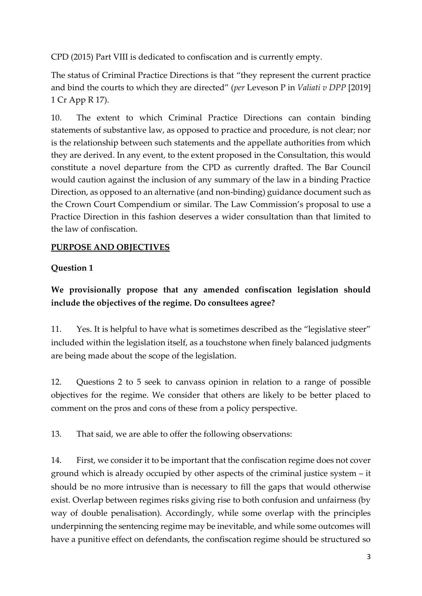CPD (2015) Part VIII is dedicated to confiscation and is currently empty.

The status of Criminal Practice Directions is that "they represent the current practice and bind the courts to which they are directed" (*per* Leveson P in *Valiati v DPP* [2019] 1 Cr App R 17).

10. The extent to which Criminal Practice Directions can contain binding statements of substantive law, as opposed to practice and procedure, is not clear; nor is the relationship between such statements and the appellate authorities from which they are derived. In any event, to the extent proposed in the Consultation, this would constitute a novel departure from the CPD as currently drafted. The Bar Council would caution against the inclusion of any summary of the law in a binding Practice Direction, as opposed to an alternative (and non-binding) guidance document such as the Crown Court Compendium or similar. The Law Commission's proposal to use a Practice Direction in this fashion deserves a wider consultation than that limited to the law of confiscation.

# **PURPOSE AND OBJECTIVES**

# **Question 1**

# **We provisionally propose that any amended confiscation legislation should include the objectives of the regime. Do consultees agree?**

11. Yes. It is helpful to have what is sometimes described as the "legislative steer" included within the legislation itself, as a touchstone when finely balanced judgments are being made about the scope of the legislation.

12. Questions 2 to 5 seek to canvass opinion in relation to a range of possible objectives for the regime. We consider that others are likely to be better placed to comment on the pros and cons of these from a policy perspective.

13. That said, we are able to offer the following observations:

14. First, we consider it to be important that the confiscation regime does not cover ground which is already occupied by other aspects of the criminal justice system – it should be no more intrusive than is necessary to fill the gaps that would otherwise exist. Overlap between regimes risks giving rise to both confusion and unfairness (by way of double penalisation). Accordingly, while some overlap with the principles underpinning the sentencing regime may be inevitable, and while some outcomes will have a punitive effect on defendants, the confiscation regime should be structured so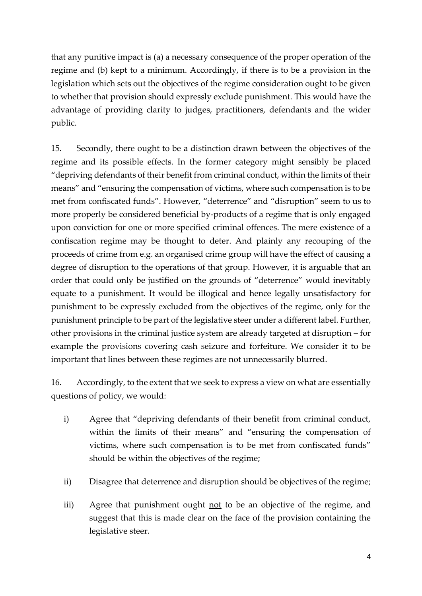that any punitive impact is (a) a necessary consequence of the proper operation of the regime and (b) kept to a minimum. Accordingly, if there is to be a provision in the legislation which sets out the objectives of the regime consideration ought to be given to whether that provision should expressly exclude punishment. This would have the advantage of providing clarity to judges, practitioners, defendants and the wider public.

15. Secondly, there ought to be a distinction drawn between the objectives of the regime and its possible effects. In the former category might sensibly be placed "depriving defendants of their benefit from criminal conduct, within the limits of their means" and "ensuring the compensation of victims, where such compensation is to be met from confiscated funds". However, "deterrence" and "disruption" seem to us to more properly be considered beneficial by-products of a regime that is only engaged upon conviction for one or more specified criminal offences. The mere existence of a confiscation regime may be thought to deter. And plainly any recouping of the proceeds of crime from e.g. an organised crime group will have the effect of causing a degree of disruption to the operations of that group. However, it is arguable that an order that could only be justified on the grounds of "deterrence" would inevitably equate to a punishment. It would be illogical and hence legally unsatisfactory for punishment to be expressly excluded from the objectives of the regime, only for the punishment principle to be part of the legislative steer under a different label. Further, other provisions in the criminal justice system are already targeted at disruption – for example the provisions covering cash seizure and forfeiture. We consider it to be important that lines between these regimes are not unnecessarily blurred.

16. Accordingly, to the extent that we seek to express a view on what are essentially questions of policy, we would:

- i) Agree that "depriving defendants of their benefit from criminal conduct, within the limits of their means" and "ensuring the compensation of victims, where such compensation is to be met from confiscated funds" should be within the objectives of the regime;
- ii) Disagree that deterrence and disruption should be objectives of the regime;
- iii) Agree that punishment ought not to be an objective of the regime, and suggest that this is made clear on the face of the provision containing the legislative steer.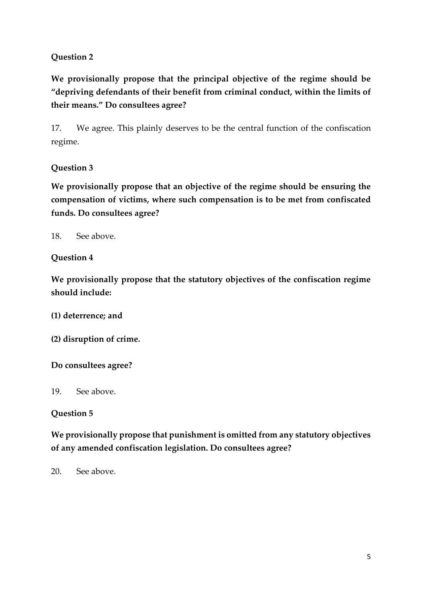## **Question 2**

**We provisionally propose that the principal objective of the regime should be "depriving defendants of their benefit from criminal conduct, within the limits of their means." Do consultees agree?** 

17. We agree. This plainly deserves to be the central function of the confiscation regime.

## **Question 3**

**We provisionally propose that an objective of the regime should be ensuring the compensation of victims, where such compensation is to be met from confiscated funds. Do consultees agree?** 

18. See above.

#### **Question 4**

**We provisionally propose that the statutory objectives of the confiscation regime should include:** 

**(1) deterrence; and** 

**(2) disruption of crime.** 

#### **Do consultees agree?**

19. See above.

#### **Question 5**

**We provisionally propose that punishment is omitted from any statutory objectives of any amended confiscation legislation. Do consultees agree?** 

20. See above.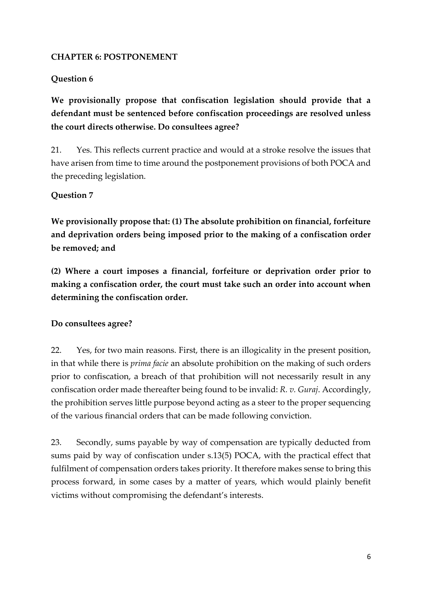#### **CHAPTER 6: POSTPONEMENT**

## **Question 6**

**We provisionally propose that confiscation legislation should provide that a defendant must be sentenced before confiscation proceedings are resolved unless the court directs otherwise. Do consultees agree?** 

21. Yes. This reflects current practice and would at a stroke resolve the issues that have arisen from time to time around the postponement provisions of both POCA and the preceding legislation.

## **Question 7**

**We provisionally propose that: (1) The absolute prohibition on financial, forfeiture and deprivation orders being imposed prior to the making of a confiscation order be removed; and** 

**(2) Where a court imposes a financial, forfeiture or deprivation order prior to making a confiscation order, the court must take such an order into account when determining the confiscation order.** 

#### **Do consultees agree?**

22. Yes, for two main reasons. First, there is an illogicality in the present position, in that while there is *prima facie* an absolute prohibition on the making of such orders prior to confiscation, a breach of that prohibition will not necessarily result in any confiscation order made thereafter being found to be invalid: *R. v. Guraj*. Accordingly, the prohibition serves little purpose beyond acting as a steer to the proper sequencing of the various financial orders that can be made following conviction.

23. Secondly, sums payable by way of compensation are typically deducted from sums paid by way of confiscation under s.13(5) POCA, with the practical effect that fulfilment of compensation orders takes priority. It therefore makes sense to bring this process forward, in some cases by a matter of years, which would plainly benefit victims without compromising the defendant's interests.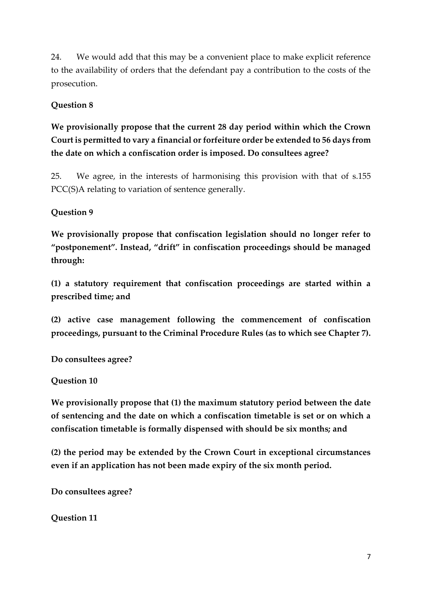24. We would add that this may be a convenient place to make explicit reference to the availability of orders that the defendant pay a contribution to the costs of the prosecution.

### **Question 8**

**We provisionally propose that the current 28 day period within which the Crown Court is permitted to vary a financial or forfeiture order be extended to 56 days from the date on which a confiscation order is imposed. Do consultees agree?** 

25. We agree, in the interests of harmonising this provision with that of s.155 PCC(S)A relating to variation of sentence generally.

#### **Question 9**

**We provisionally propose that confiscation legislation should no longer refer to "postponement". Instead, "drift" in confiscation proceedings should be managed through:** 

**(1) a statutory requirement that confiscation proceedings are started within a prescribed time; and** 

**(2) active case management following the commencement of confiscation proceedings, pursuant to the Criminal Procedure Rules (as to which see Chapter 7).** 

**Do consultees agree?** 

#### **Question 10**

**We provisionally propose that (1) the maximum statutory period between the date of sentencing and the date on which a confiscation timetable is set or on which a confiscation timetable is formally dispensed with should be six months; and** 

**(2) the period may be extended by the Crown Court in exceptional circumstances even if an application has not been made expiry of the six month period.** 

**Do consultees agree?** 

**Question 11**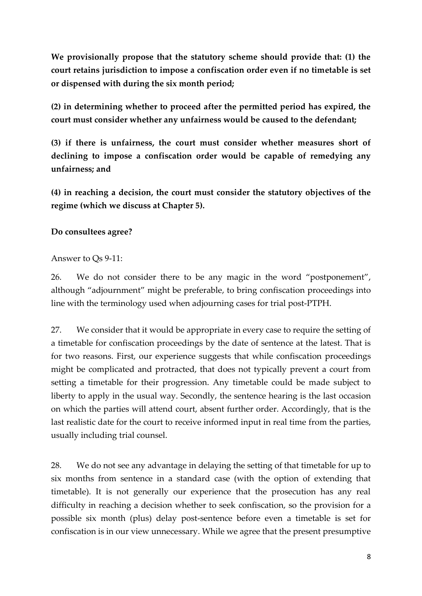**We provisionally propose that the statutory scheme should provide that: (1) the court retains jurisdiction to impose a confiscation order even if no timetable is set or dispensed with during the six month period;** 

**(2) in determining whether to proceed after the permitted period has expired, the court must consider whether any unfairness would be caused to the defendant;** 

**(3) if there is unfairness, the court must consider whether measures short of declining to impose a confiscation order would be capable of remedying any unfairness; and** 

**(4) in reaching a decision, the court must consider the statutory objectives of the regime (which we discuss at Chapter 5).** 

#### **Do consultees agree?**

#### Answer to Qs 9-11:

26. We do not consider there to be any magic in the word "postponement", although "adjournment" might be preferable, to bring confiscation proceedings into line with the terminology used when adjourning cases for trial post-PTPH.

27. We consider that it would be appropriate in every case to require the setting of a timetable for confiscation proceedings by the date of sentence at the latest. That is for two reasons. First, our experience suggests that while confiscation proceedings might be complicated and protracted, that does not typically prevent a court from setting a timetable for their progression. Any timetable could be made subject to liberty to apply in the usual way. Secondly, the sentence hearing is the last occasion on which the parties will attend court, absent further order. Accordingly, that is the last realistic date for the court to receive informed input in real time from the parties, usually including trial counsel.

28. We do not see any advantage in delaying the setting of that timetable for up to six months from sentence in a standard case (with the option of extending that timetable). It is not generally our experience that the prosecution has any real difficulty in reaching a decision whether to seek confiscation, so the provision for a possible six month (plus) delay post-sentence before even a timetable is set for confiscation is in our view unnecessary. While we agree that the present presumptive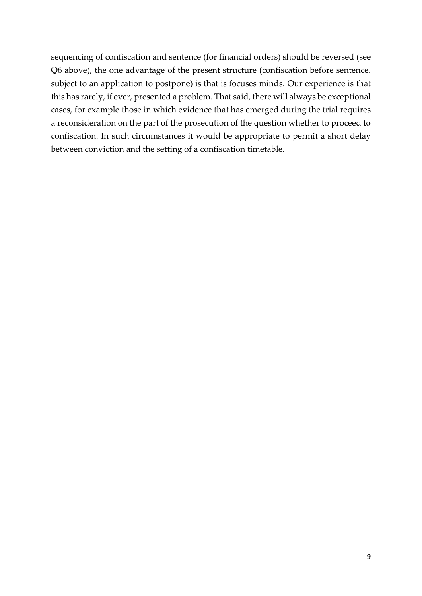sequencing of confiscation and sentence (for financial orders) should be reversed (see Q6 above), the one advantage of the present structure (confiscation before sentence, subject to an application to postpone) is that is focuses minds. Our experience is that this has rarely, if ever, presented a problem. That said, there will always be exceptional cases, for example those in which evidence that has emerged during the trial requires a reconsideration on the part of the prosecution of the question whether to proceed to confiscation. In such circumstances it would be appropriate to permit a short delay between conviction and the setting of a confiscation timetable.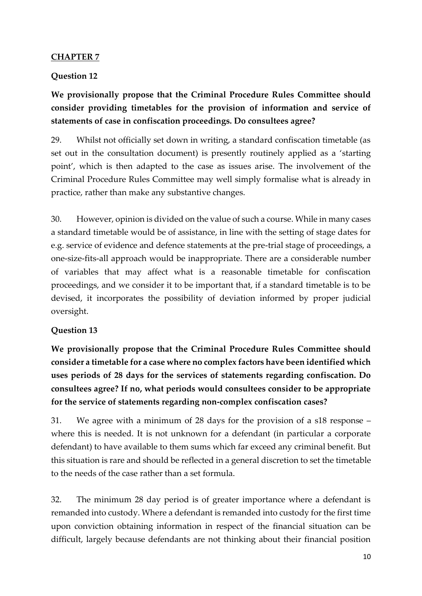#### **CHAPTER 7**

### **Question 12**

# **We provisionally propose that the Criminal Procedure Rules Committee should consider providing timetables for the provision of information and service of statements of case in confiscation proceedings. Do consultees agree?**

29. Whilst not officially set down in writing, a standard confiscation timetable (as set out in the consultation document) is presently routinely applied as a 'starting point', which is then adapted to the case as issues arise. The involvement of the Criminal Procedure Rules Committee may well simply formalise what is already in practice, rather than make any substantive changes.

30. However, opinion is divided on the value of such a course. While in many cases a standard timetable would be of assistance, in line with the setting of stage dates for e.g. service of evidence and defence statements at the pre-trial stage of proceedings, a one-size-fits-all approach would be inappropriate. There are a considerable number of variables that may affect what is a reasonable timetable for confiscation proceedings, and we consider it to be important that, if a standard timetable is to be devised, it incorporates the possibility of deviation informed by proper judicial oversight.

#### **Question 13**

**We provisionally propose that the Criminal Procedure Rules Committee should consider a timetable for a case where no complex factors have been identified which uses periods of 28 days for the services of statements regarding confiscation. Do consultees agree? If no, what periods would consultees consider to be appropriate for the service of statements regarding non-complex confiscation cases?** 

31. We agree with a minimum of 28 days for the provision of a s18 response – where this is needed. It is not unknown for a defendant (in particular a corporate defendant) to have available to them sums which far exceed any criminal benefit. But this situation is rare and should be reflected in a general discretion to set the timetable to the needs of the case rather than a set formula.

32. The minimum 28 day period is of greater importance where a defendant is remanded into custody. Where a defendant is remanded into custody for the first time upon conviction obtaining information in respect of the financial situation can be difficult, largely because defendants are not thinking about their financial position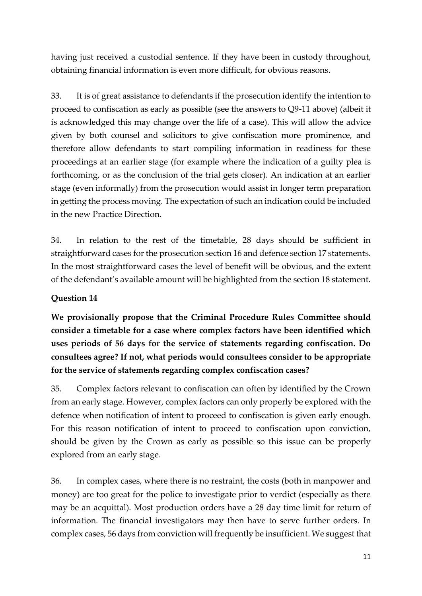having just received a custodial sentence. If they have been in custody throughout, obtaining financial information is even more difficult, for obvious reasons.

33. It is of great assistance to defendants if the prosecution identify the intention to proceed to confiscation as early as possible (see the answers to Q9-11 above) (albeit it is acknowledged this may change over the life of a case). This will allow the advice given by both counsel and solicitors to give confiscation more prominence, and therefore allow defendants to start compiling information in readiness for these proceedings at an earlier stage (for example where the indication of a guilty plea is forthcoming, or as the conclusion of the trial gets closer). An indication at an earlier stage (even informally) from the prosecution would assist in longer term preparation in getting the process moving. The expectation of such an indication could be included in the new Practice Direction.

34. In relation to the rest of the timetable, 28 days should be sufficient in straightforward cases for the prosecution section 16 and defence section 17 statements. In the most straightforward cases the level of benefit will be obvious, and the extent of the defendant's available amount will be highlighted from the section 18 statement.

## **Question 14**

**We provisionally propose that the Criminal Procedure Rules Committee should consider a timetable for a case where complex factors have been identified which uses periods of 56 days for the service of statements regarding confiscation. Do consultees agree? If not, what periods would consultees consider to be appropriate for the service of statements regarding complex confiscation cases?** 

35. Complex factors relevant to confiscation can often by identified by the Crown from an early stage. However, complex factors can only properly be explored with the defence when notification of intent to proceed to confiscation is given early enough. For this reason notification of intent to proceed to confiscation upon conviction, should be given by the Crown as early as possible so this issue can be properly explored from an early stage.

36. In complex cases, where there is no restraint, the costs (both in manpower and money) are too great for the police to investigate prior to verdict (especially as there may be an acquittal). Most production orders have a 28 day time limit for return of information. The financial investigators may then have to serve further orders. In complex cases, 56 days from conviction will frequently be insufficient. We suggest that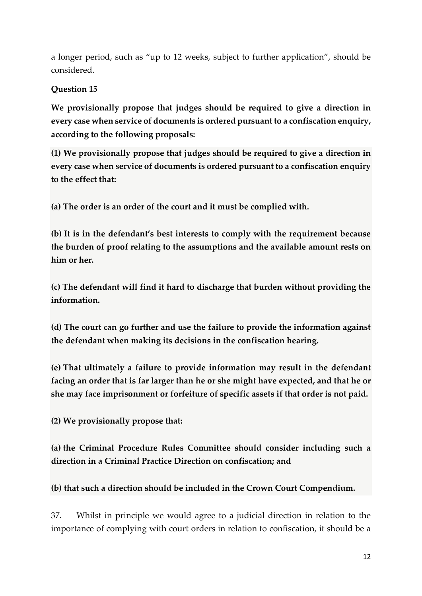a longer period, such as "up to 12 weeks, subject to further application", should be considered.

# **Question 15**

**We provisionally propose that judges should be required to give a direction in every case when service of documents is ordered pursuant to a confiscation enquiry, according to the following proposals:**

**(1) We provisionally propose that judges should be required to give a direction in every case when service of documents is ordered pursuant to a confiscation enquiry to the effect that:**

**(a) The order is an order of the court and it must be complied with.**

**(b) It is in the defendant's best interests to comply with the requirement because the burden of proof relating to the assumptions and the available amount rests on him or her.**

**(c) The defendant will find it hard to discharge that burden without providing the information.**

**(d) The court can go further and use the failure to provide the information against the defendant when making its decisions in the confiscation hearing.**

**(e) That ultimately a failure to provide information may result in the defendant facing an order that is far larger than he or she might have expected, and that he or she may face imprisonment or forfeiture of specific assets if that order is not paid.**

**(2) We provisionally propose that:**

**(a) the Criminal Procedure Rules Committee should consider including such a direction in a Criminal Practice Direction on confiscation; and**

# **(b) that such a direction should be included in the Crown Court Compendium.**

37. Whilst in principle we would agree to a judicial direction in relation to the importance of complying with court orders in relation to confiscation, it should be a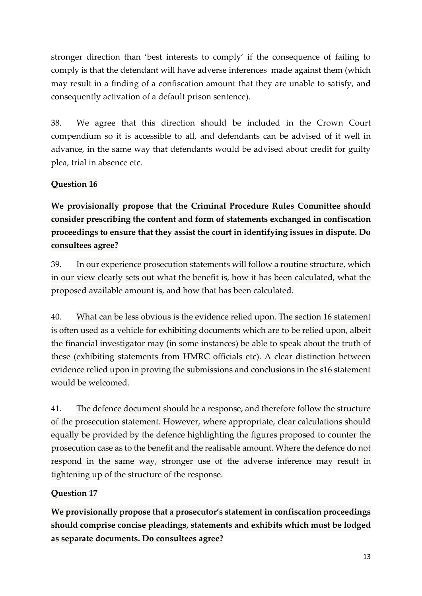stronger direction than 'best interests to comply' if the consequence of failing to comply is that the defendant will have adverse inferences made against them (which may result in a finding of a confiscation amount that they are unable to satisfy, and consequently activation of a default prison sentence).

38. We agree that this direction should be included in the Crown Court compendium so it is accessible to all, and defendants can be advised of it well in advance, in the same way that defendants would be advised about credit for guilty plea, trial in absence etc.

# **Question 16**

**We provisionally propose that the Criminal Procedure Rules Committee should consider prescribing the content and form of statements exchanged in confiscation proceedings to ensure that they assist the court in identifying issues in dispute. Do consultees agree?**

39. In our experience prosecution statements will follow a routine structure, which in our view clearly sets out what the benefit is, how it has been calculated, what the proposed available amount is, and how that has been calculated.

40. What can be less obvious is the evidence relied upon. The section 16 statement is often used as a vehicle for exhibiting documents which are to be relied upon, albeit the financial investigator may (in some instances) be able to speak about the truth of these (exhibiting statements from HMRC officials etc). A clear distinction between evidence relied upon in proving the submissions and conclusions in the s16 statement would be welcomed.

41. The defence document should be a response, and therefore follow the structure of the prosecution statement. However, where appropriate, clear calculations should equally be provided by the defence highlighting the figures proposed to counter the prosecution case as to the benefit and the realisable amount. Where the defence do not respond in the same way, stronger use of the adverse inference may result in tightening up of the structure of the response.

# **Question 17**

**We provisionally propose that a prosecutor's statement in confiscation proceedings should comprise concise pleadings, statements and exhibits which must be lodged as separate documents. Do consultees agree?**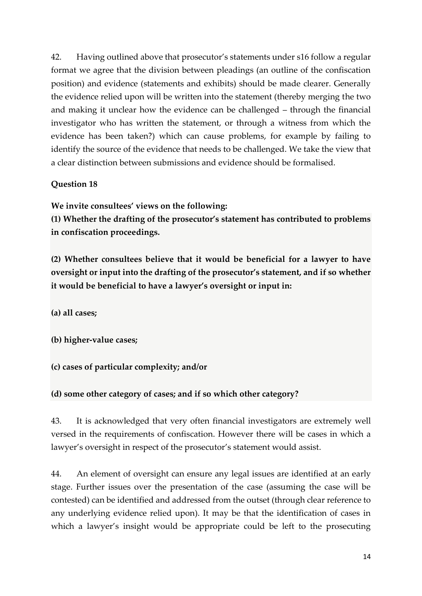42. Having outlined above that prosecutor's statements under s16 follow a regular format we agree that the division between pleadings (an outline of the confiscation position) and evidence (statements and exhibits) should be made clearer. Generally the evidence relied upon will be written into the statement (thereby merging the two and making it unclear how the evidence can be challenged – through the financial investigator who has written the statement, or through a witness from which the evidence has been taken?) which can cause problems, for example by failing to identify the source of the evidence that needs to be challenged. We take the view that a clear distinction between submissions and evidence should be formalised.

## **Question 18**

**We invite consultees' views on the following:**

**(1) Whether the drafting of the prosecutor's statement has contributed to problems in confiscation proceedings.**

**(2) Whether consultees believe that it would be beneficial for a lawyer to have oversight or input into the drafting of the prosecutor's statement, and if so whether it would be beneficial to have a lawyer's oversight or input in:**

**(a) all cases;**

**(b) higher-value cases;**

**(c) cases of particular complexity; and/or**

**(d) some other category of cases; and if so which other category?**

43. It is acknowledged that very often financial investigators are extremely well versed in the requirements of confiscation. However there will be cases in which a lawyer's oversight in respect of the prosecutor's statement would assist.

44. An element of oversight can ensure any legal issues are identified at an early stage. Further issues over the presentation of the case (assuming the case will be contested) can be identified and addressed from the outset (through clear reference to any underlying evidence relied upon). It may be that the identification of cases in which a lawyer's insight would be appropriate could be left to the prosecuting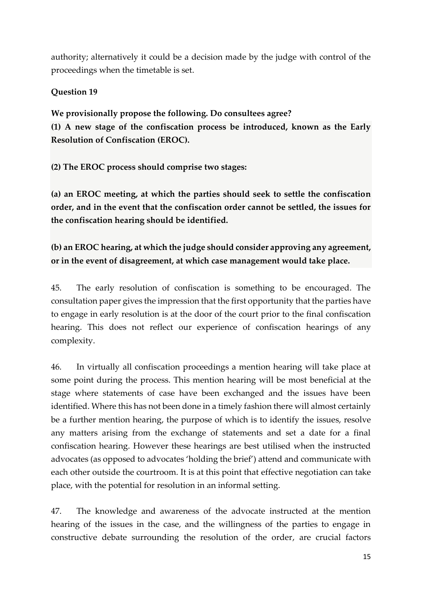authority; alternatively it could be a decision made by the judge with control of the proceedings when the timetable is set.

## **Question 19**

**We provisionally propose the following. Do consultees agree? (1) A new stage of the confiscation process be introduced, known as the Early Resolution of Confiscation (EROC).**

**(2) The EROC process should comprise two stages:**

**(a) an EROC meeting, at which the parties should seek to settle the confiscation order, and in the event that the confiscation order cannot be settled, the issues for the confiscation hearing should be identified.**

**(b) an EROC hearing, at which the judge should consider approving any agreement, or in the event of disagreement, at which case management would take place.**

45. The early resolution of confiscation is something to be encouraged. The consultation paper gives the impression that the first opportunity that the parties have to engage in early resolution is at the door of the court prior to the final confiscation hearing. This does not reflect our experience of confiscation hearings of any complexity.

46. In virtually all confiscation proceedings a mention hearing will take place at some point during the process. This mention hearing will be most beneficial at the stage where statements of case have been exchanged and the issues have been identified. Where this has not been done in a timely fashion there will almost certainly be a further mention hearing, the purpose of which is to identify the issues, resolve any matters arising from the exchange of statements and set a date for a final confiscation hearing. However these hearings are best utilised when the instructed advocates (as opposed to advocates 'holding the brief') attend and communicate with each other outside the courtroom. It is at this point that effective negotiation can take place, with the potential for resolution in an informal setting.

47. The knowledge and awareness of the advocate instructed at the mention hearing of the issues in the case, and the willingness of the parties to engage in constructive debate surrounding the resolution of the order, are crucial factors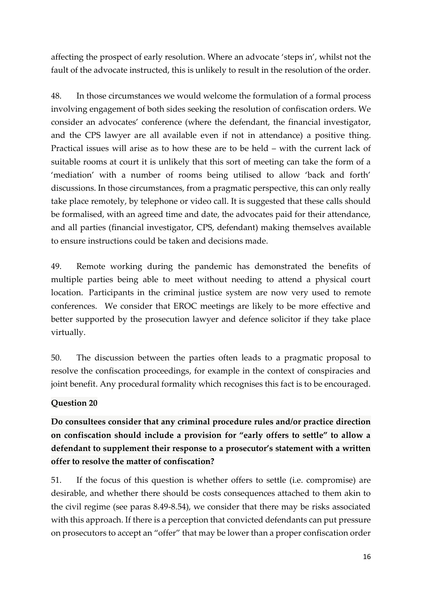affecting the prospect of early resolution. Where an advocate 'steps in', whilst not the fault of the advocate instructed, this is unlikely to result in the resolution of the order.

48. In those circumstances we would welcome the formulation of a formal process involving engagement of both sides seeking the resolution of confiscation orders. We consider an advocates' conference (where the defendant, the financial investigator, and the CPS lawyer are all available even if not in attendance) a positive thing. Practical issues will arise as to how these are to be held – with the current lack of suitable rooms at court it is unlikely that this sort of meeting can take the form of a 'mediation' with a number of rooms being utilised to allow 'back and forth' discussions. In those circumstances, from a pragmatic perspective, this can only really take place remotely, by telephone or video call. It is suggested that these calls should be formalised, with an agreed time and date, the advocates paid for their attendance, and all parties (financial investigator, CPS, defendant) making themselves available to ensure instructions could be taken and decisions made.

49. Remote working during the pandemic has demonstrated the benefits of multiple parties being able to meet without needing to attend a physical court location. Participants in the criminal justice system are now very used to remote conferences. We consider that EROC meetings are likely to be more effective and better supported by the prosecution lawyer and defence solicitor if they take place virtually.

50. The discussion between the parties often leads to a pragmatic proposal to resolve the confiscation proceedings, for example in the context of conspiracies and joint benefit. Any procedural formality which recognises this fact is to be encouraged.

#### **Question 20**

**Do consultees consider that any criminal procedure rules and/or practice direction on confiscation should include a provision for "early offers to settle" to allow a defendant to supplement their response to a prosecutor's statement with a written offer to resolve the matter of confiscation?**

51. If the focus of this question is whether offers to settle (i.e. compromise) are desirable, and whether there should be costs consequences attached to them akin to the civil regime (see paras 8.49-8.54), we consider that there may be risks associated with this approach. If there is a perception that convicted defendants can put pressure on prosecutors to accept an "offer" that may be lower than a proper confiscation order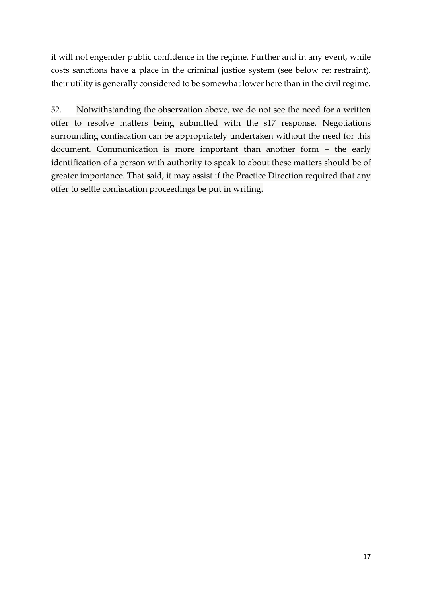it will not engender public confidence in the regime. Further and in any event, while costs sanctions have a place in the criminal justice system (see below re: restraint), their utility is generally considered to be somewhat lower here than in the civil regime.

52. Notwithstanding the observation above, we do not see the need for a written offer to resolve matters being submitted with the s17 response. Negotiations surrounding confiscation can be appropriately undertaken without the need for this document. Communication is more important than another form – the early identification of a person with authority to speak to about these matters should be of greater importance. That said, it may assist if the Practice Direction required that any offer to settle confiscation proceedings be put in writing.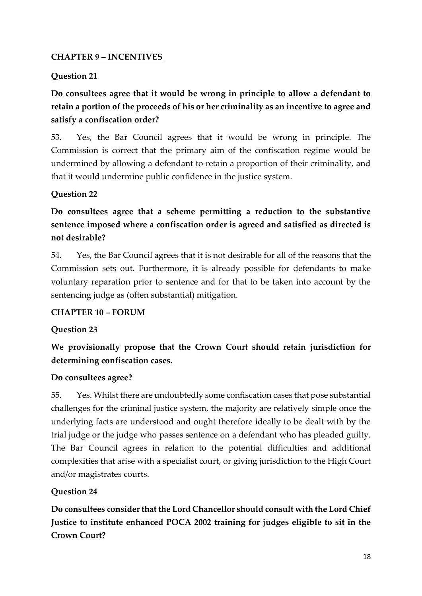### **CHAPTER 9 – INCENTIVES**

#### **Question 21**

**Do consultees agree that it would be wrong in principle to allow a defendant to retain a portion of the proceeds of his or her criminality as an incentive to agree and satisfy a confiscation order?**

53. Yes, the Bar Council agrees that it would be wrong in principle. The Commission is correct that the primary aim of the confiscation regime would be undermined by allowing a defendant to retain a proportion of their criminality, and that it would undermine public confidence in the justice system.

## **Question 22**

**Do consultees agree that a scheme permitting a reduction to the substantive sentence imposed where a confiscation order is agreed and satisfied as directed is not desirable?**

54. Yes, the Bar Council agrees that it is not desirable for all of the reasons that the Commission sets out. Furthermore, it is already possible for defendants to make voluntary reparation prior to sentence and for that to be taken into account by the sentencing judge as (often substantial) mitigation.

#### **CHAPTER 10 – FORUM**

#### **Question 23**

**We provisionally propose that the Crown Court should retain jurisdiction for determining confiscation cases.**

#### **Do consultees agree?**

55. Yes. Whilst there are undoubtedly some confiscation cases that pose substantial challenges for the criminal justice system, the majority are relatively simple once the underlying facts are understood and ought therefore ideally to be dealt with by the trial judge or the judge who passes sentence on a defendant who has pleaded guilty. The Bar Council agrees in relation to the potential difficulties and additional complexities that arise with a specialist court, or giving jurisdiction to the High Court and/or magistrates courts.

#### **Question 24**

**Do consultees consider that the Lord Chancellor should consult with the Lord Chief Justice to institute enhanced POCA 2002 training for judges eligible to sit in the Crown Court?**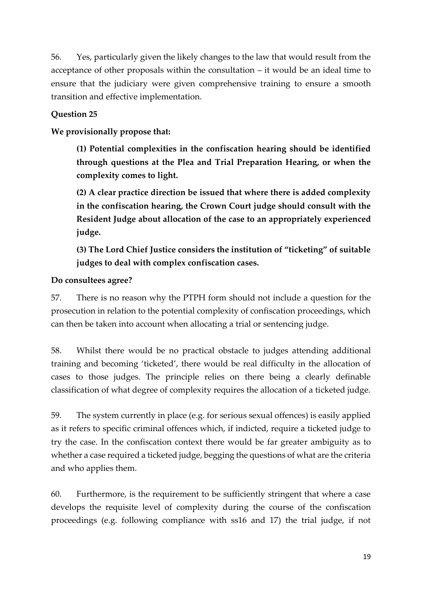56. Yes, particularly given the likely changes to the law that would result from the acceptance of other proposals within the consultation – it would be an ideal time to ensure that the judiciary were given comprehensive training to ensure a smooth transition and effective implementation.

### **Question 25**

**We provisionally propose that:**

**(1) Potential complexities in the confiscation hearing should be identified through questions at the Plea and Trial Preparation Hearing, or when the complexity comes to light.**

**(2) A clear practice direction be issued that where there is added complexity in the confiscation hearing, the Crown Court judge should consult with the Resident Judge about allocation of the case to an appropriately experienced judge.**

**(3) The Lord Chief Justice considers the institution of "ticketing" of suitable judges to deal with complex confiscation cases.**

#### **Do consultees agree?**

57. There is no reason why the PTPH form should not include a question for the prosecution in relation to the potential complexity of confiscation proceedings, which can then be taken into account when allocating a trial or sentencing judge.

58. Whilst there would be no practical obstacle to judges attending additional training and becoming 'ticketed', there would be real difficulty in the allocation of cases to those judges. The principle relies on there being a clearly definable classification of what degree of complexity requires the allocation of a ticketed judge.

59. The system currently in place (e.g. for serious sexual offences) is easily applied as it refers to specific criminal offences which, if indicted, require a ticketed judge to try the case. In the confiscation context there would be far greater ambiguity as to whether a case required a ticketed judge, begging the questions of what are the criteria and who applies them.

60. Furthermore, is the requirement to be sufficiently stringent that where a case develops the requisite level of complexity during the course of the confiscation proceedings (e.g. following compliance with ss16 and 17) the trial judge, if not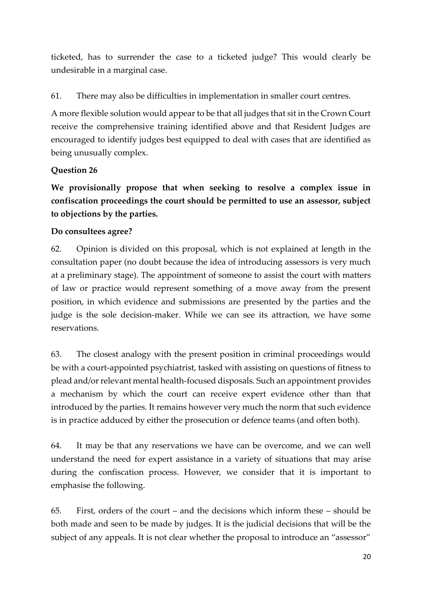ticketed, has to surrender the case to a ticketed judge? This would clearly be undesirable in a marginal case.

## 61. There may also be difficulties in implementation in smaller court centres.

A more flexible solution would appear to be that all judges that sit in the Crown Court receive the comprehensive training identified above and that Resident Judges are encouraged to identify judges best equipped to deal with cases that are identified as being unusually complex.

## **Question 26**

**We provisionally propose that when seeking to resolve a complex issue in confiscation proceedings the court should be permitted to use an assessor, subject to objections by the parties.**

## **Do consultees agree?**

62. Opinion is divided on this proposal, which is not explained at length in the consultation paper (no doubt because the idea of introducing assessors is very much at a preliminary stage). The appointment of someone to assist the court with matters of law or practice would represent something of a move away from the present position, in which evidence and submissions are presented by the parties and the judge is the sole decision-maker. While we can see its attraction, we have some reservations.

63. The closest analogy with the present position in criminal proceedings would be with a court-appointed psychiatrist, tasked with assisting on questions of fitness to plead and/or relevant mental health-focused disposals. Such an appointment provides a mechanism by which the court can receive expert evidence other than that introduced by the parties. It remains however very much the norm that such evidence is in practice adduced by either the prosecution or defence teams (and often both).

64. It may be that any reservations we have can be overcome, and we can well understand the need for expert assistance in a variety of situations that may arise during the confiscation process. However, we consider that it is important to emphasise the following.

65. First, orders of the court – and the decisions which inform these – should be both made and seen to be made by judges. It is the judicial decisions that will be the subject of any appeals. It is not clear whether the proposal to introduce an "assessor"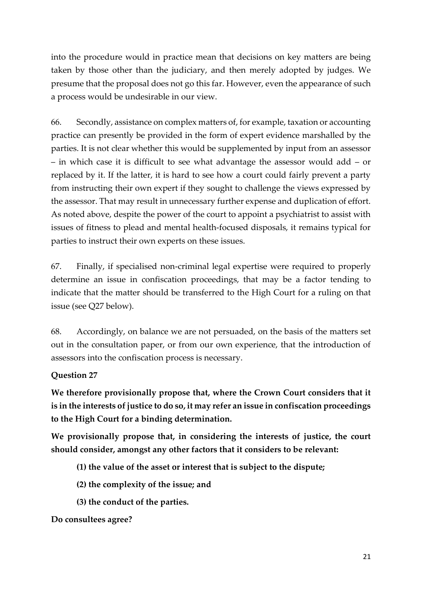into the procedure would in practice mean that decisions on key matters are being taken by those other than the judiciary, and then merely adopted by judges. We presume that the proposal does not go this far. However, even the appearance of such a process would be undesirable in our view.

66. Secondly, assistance on complex matters of, for example, taxation or accounting practice can presently be provided in the form of expert evidence marshalled by the parties. It is not clear whether this would be supplemented by input from an assessor – in which case it is difficult to see what advantage the assessor would add – or replaced by it. If the latter, it is hard to see how a court could fairly prevent a party from instructing their own expert if they sought to challenge the views expressed by the assessor. That may result in unnecessary further expense and duplication of effort. As noted above, despite the power of the court to appoint a psychiatrist to assist with issues of fitness to plead and mental health-focused disposals, it remains typical for parties to instruct their own experts on these issues.

67. Finally, if specialised non-criminal legal expertise were required to properly determine an issue in confiscation proceedings, that may be a factor tending to indicate that the matter should be transferred to the High Court for a ruling on that issue (see Q27 below).

68. Accordingly, on balance we are not persuaded, on the basis of the matters set out in the consultation paper, or from our own experience, that the introduction of assessors into the confiscation process is necessary.

#### **Question 27**

**We therefore provisionally propose that, where the Crown Court considers that it is in the interests of justice to do so, it may refer an issue in confiscation proceedings to the High Court for a binding determination.**

**We provisionally propose that, in considering the interests of justice, the court should consider, amongst any other factors that it considers to be relevant:**

- **(1) the value of the asset or interest that is subject to the dispute;**
- **(2) the complexity of the issue; and**
- **(3) the conduct of the parties.**

#### **Do consultees agree?**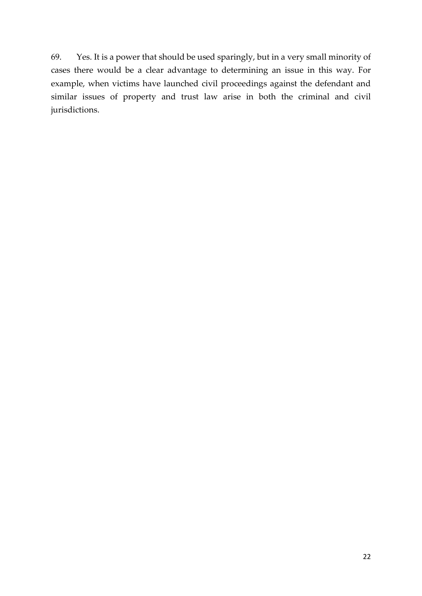69. Yes. It is a power that should be used sparingly, but in a very small minority of cases there would be a clear advantage to determining an issue in this way. For example, when victims have launched civil proceedings against the defendant and similar issues of property and trust law arise in both the criminal and civil jurisdictions.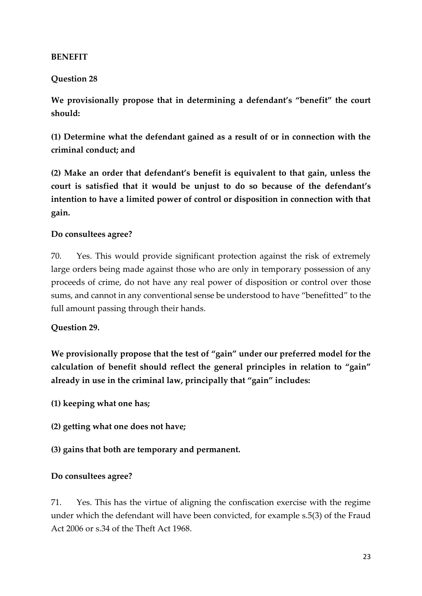#### **BENEFIT**

### **Question 28**

**We provisionally propose that in determining a defendant's "benefit" the court should:** 

**(1) Determine what the defendant gained as a result of or in connection with the criminal conduct; and** 

**(2) Make an order that defendant's benefit is equivalent to that gain, unless the court is satisfied that it would be unjust to do so because of the defendant's intention to have a limited power of control or disposition in connection with that gain.** 

#### **Do consultees agree?**

70. Yes. This would provide significant protection against the risk of extremely large orders being made against those who are only in temporary possession of any proceeds of crime, do not have any real power of disposition or control over those sums, and cannot in any conventional sense be understood to have "benefitted" to the full amount passing through their hands.

#### **Question 29.**

**We provisionally propose that the test of "gain" under our preferred model for the calculation of benefit should reflect the general principles in relation to "gain" already in use in the criminal law, principally that "gain" includes:** 

- **(1) keeping what one has;**
- **(2) getting what one does not have;**
- **(3) gains that both are temporary and permanent.**

#### **Do consultees agree?**

71. Yes. This has the virtue of aligning the confiscation exercise with the regime under which the defendant will have been convicted, for example s.5(3) of the Fraud Act 2006 or s.34 of the Theft Act 1968.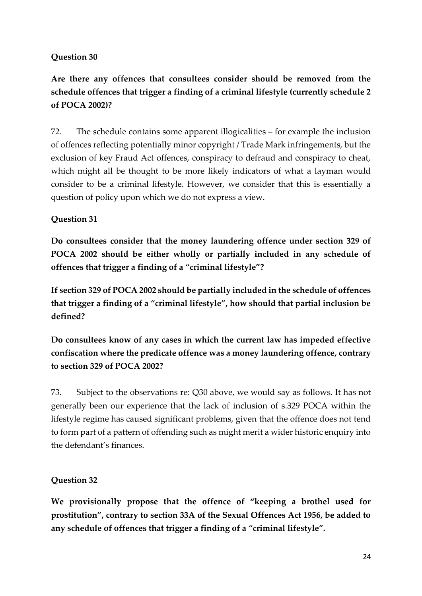## **Question 30**

# **Are there any offences that consultees consider should be removed from the schedule offences that trigger a finding of a criminal lifestyle (currently schedule 2 of POCA 2002)?**

72. The schedule contains some apparent illogicalities – for example the inclusion of offences reflecting potentially minor copyright / Trade Mark infringements, but the exclusion of key Fraud Act offences, conspiracy to defraud and conspiracy to cheat, which might all be thought to be more likely indicators of what a layman would consider to be a criminal lifestyle. However, we consider that this is essentially a question of policy upon which we do not express a view.

## **Question 31**

**Do consultees consider that the money laundering offence under section 329 of POCA 2002 should be either wholly or partially included in any schedule of offences that trigger a finding of a "criminal lifestyle"?** 

**If section 329 of POCA 2002 should be partially included in the schedule of offences that trigger a finding of a "criminal lifestyle", how should that partial inclusion be defined?** 

**Do consultees know of any cases in which the current law has impeded effective confiscation where the predicate offence was a money laundering offence, contrary to section 329 of POCA 2002?** 

73. Subject to the observations re: Q30 above, we would say as follows. It has not generally been our experience that the lack of inclusion of s.329 POCA within the lifestyle regime has caused significant problems, given that the offence does not tend to form part of a pattern of offending such as might merit a wider historic enquiry into the defendant's finances.

#### **Question 32**

**We provisionally propose that the offence of "keeping a brothel used for prostitution", contrary to section 33A of the Sexual Offences Act 1956, be added to any schedule of offences that trigger a finding of a "criminal lifestyle".**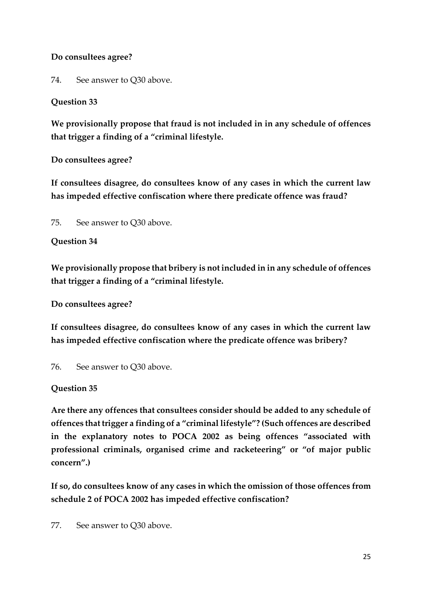## **Do consultees agree?**

74. See answer to Q30 above.

# **Question 33**

**We provisionally propose that fraud is not included in in any schedule of offences that trigger a finding of a "criminal lifestyle.** 

**Do consultees agree?** 

**If consultees disagree, do consultees know of any cases in which the current law has impeded effective confiscation where there predicate offence was fraud?** 

75. See answer to Q30 above.

# **Question 34**

**We provisionally propose that bribery is not included in in any schedule of offences that trigger a finding of a "criminal lifestyle.** 

**Do consultees agree?** 

**If consultees disagree, do consultees know of any cases in which the current law has impeded effective confiscation where the predicate offence was bribery?** 

76. See answer to Q30 above.

# **Question 35**

**Are there any offences that consultees consider should be added to any schedule of offences that trigger a finding of a "criminal lifestyle"? (Such offences are described in the explanatory notes to POCA 2002 as being offences "associated with professional criminals, organised crime and racketeering" or "of major public concern".)** 

**If so, do consultees know of any cases in which the omission of those offences from schedule 2 of POCA 2002 has impeded effective confiscation?** 

77. See answer to Q30 above.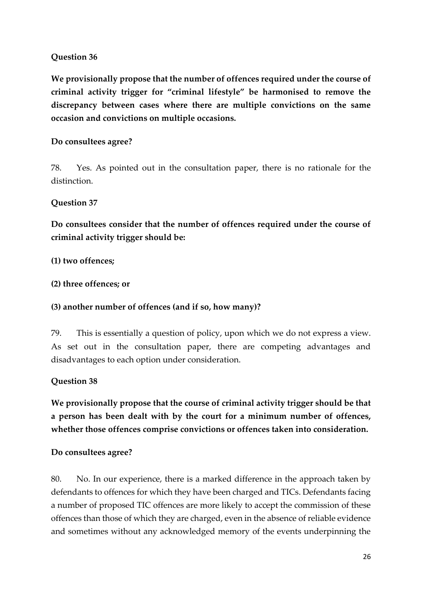## **Question 36**

**We provisionally propose that the number of offences required under the course of criminal activity trigger for "criminal lifestyle" be harmonised to remove the discrepancy between cases where there are multiple convictions on the same occasion and convictions on multiple occasions.** 

### **Do consultees agree?**

78. Yes. As pointed out in the consultation paper, there is no rationale for the distinction.

#### **Question 37**

**Do consultees consider that the number of offences required under the course of criminal activity trigger should be:** 

#### **(1) two offences;**

**(2) three offences; or** 

#### **(3) another number of offences (and if so, how many)?**

79. This is essentially a question of policy, upon which we do not express a view. As set out in the consultation paper, there are competing advantages and disadvantages to each option under consideration.

#### **Question 38**

**We provisionally propose that the course of criminal activity trigger should be that a person has been dealt with by the court for a minimum number of offences, whether those offences comprise convictions or offences taken into consideration.** 

#### **Do consultees agree?**

80. No. In our experience, there is a marked difference in the approach taken by defendants to offences for which they have been charged and TICs. Defendants facing a number of proposed TIC offences are more likely to accept the commission of these offences than those of which they are charged, even in the absence of reliable evidence and sometimes without any acknowledged memory of the events underpinning the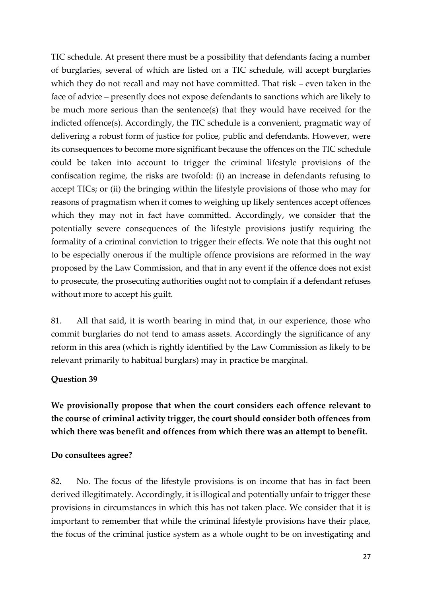TIC schedule. At present there must be a possibility that defendants facing a number of burglaries, several of which are listed on a TIC schedule, will accept burglaries which they do not recall and may not have committed. That risk – even taken in the face of advice – presently does not expose defendants to sanctions which are likely to be much more serious than the sentence(s) that they would have received for the indicted offence(s). Accordingly, the TIC schedule is a convenient, pragmatic way of delivering a robust form of justice for police, public and defendants. However, were its consequences to become more significant because the offences on the TIC schedule could be taken into account to trigger the criminal lifestyle provisions of the confiscation regime, the risks are twofold: (i) an increase in defendants refusing to accept TICs; or (ii) the bringing within the lifestyle provisions of those who may for reasons of pragmatism when it comes to weighing up likely sentences accept offences which they may not in fact have committed. Accordingly, we consider that the potentially severe consequences of the lifestyle provisions justify requiring the formality of a criminal conviction to trigger their effects. We note that this ought not to be especially onerous if the multiple offence provisions are reformed in the way proposed by the Law Commission, and that in any event if the offence does not exist to prosecute, the prosecuting authorities ought not to complain if a defendant refuses without more to accept his guilt.

81. All that said, it is worth bearing in mind that, in our experience, those who commit burglaries do not tend to amass assets. Accordingly the significance of any reform in this area (which is rightly identified by the Law Commission as likely to be relevant primarily to habitual burglars) may in practice be marginal.

#### **Question 39**

**We provisionally propose that when the court considers each offence relevant to the course of criminal activity trigger, the court should consider both offences from which there was benefit and offences from which there was an attempt to benefit.** 

#### **Do consultees agree?**

82. No. The focus of the lifestyle provisions is on income that has in fact been derived illegitimately. Accordingly, it is illogical and potentially unfair to trigger these provisions in circumstances in which this has not taken place. We consider that it is important to remember that while the criminal lifestyle provisions have their place, the focus of the criminal justice system as a whole ought to be on investigating and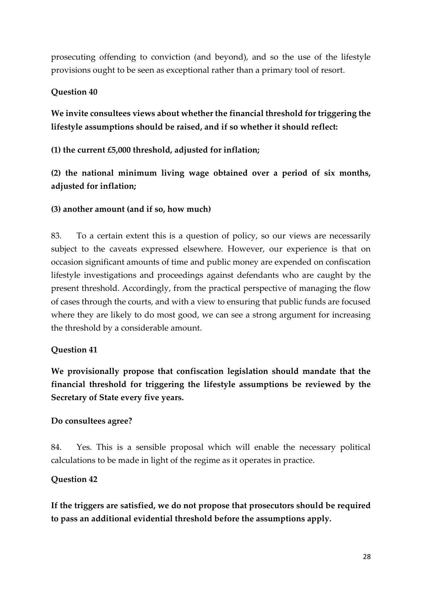prosecuting offending to conviction (and beyond), and so the use of the lifestyle provisions ought to be seen as exceptional rather than a primary tool of resort.

## **Question 40**

**We invite consultees views about whether the financial threshold for triggering the lifestyle assumptions should be raised, and if so whether it should reflect:** 

**(1) the current £5,000 threshold, adjusted for inflation;** 

**(2) the national minimum living wage obtained over a period of six months, adjusted for inflation;** 

## **(3) another amount (and if so, how much)**

83. To a certain extent this is a question of policy, so our views are necessarily subject to the caveats expressed elsewhere. However, our experience is that on occasion significant amounts of time and public money are expended on confiscation lifestyle investigations and proceedings against defendants who are caught by the present threshold. Accordingly, from the practical perspective of managing the flow of cases through the courts, and with a view to ensuring that public funds are focused where they are likely to do most good, we can see a strong argument for increasing the threshold by a considerable amount.

#### **Question 41**

**We provisionally propose that confiscation legislation should mandate that the financial threshold for triggering the lifestyle assumptions be reviewed by the Secretary of State every five years.** 

#### **Do consultees agree?**

84. Yes. This is a sensible proposal which will enable the necessary political calculations to be made in light of the regime as it operates in practice.

#### **Question 42**

**If the triggers are satisfied, we do not propose that prosecutors should be required to pass an additional evidential threshold before the assumptions apply.**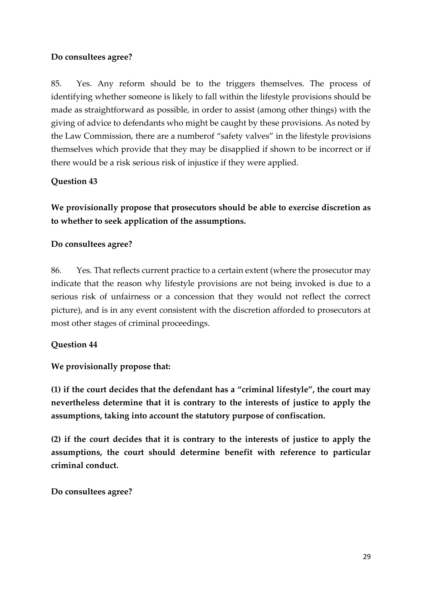#### **Do consultees agree?**

85. Yes. Any reform should be to the triggers themselves. The process of identifying whether someone is likely to fall within the lifestyle provisions should be made as straightforward as possible, in order to assist (among other things) with the giving of advice to defendants who might be caught by these provisions. As noted by the Law Commission, there are a numberof "safety valves" in the lifestyle provisions themselves which provide that they may be disapplied if shown to be incorrect or if there would be a risk serious risk of injustice if they were applied.

#### **Question 43**

**We provisionally propose that prosecutors should be able to exercise discretion as to whether to seek application of the assumptions.** 

#### **Do consultees agree?**

86. Yes. That reflects current practice to a certain extent (where the prosecutor may indicate that the reason why lifestyle provisions are not being invoked is due to a serious risk of unfairness or a concession that they would not reflect the correct picture), and is in any event consistent with the discretion afforded to prosecutors at most other stages of criminal proceedings.

#### **Question 44**

#### **We provisionally propose that:**

**(1) if the court decides that the defendant has a "criminal lifestyle", the court may nevertheless determine that it is contrary to the interests of justice to apply the assumptions, taking into account the statutory purpose of confiscation.** 

**(2) if the court decides that it is contrary to the interests of justice to apply the assumptions, the court should determine benefit with reference to particular criminal conduct.** 

**Do consultees agree?**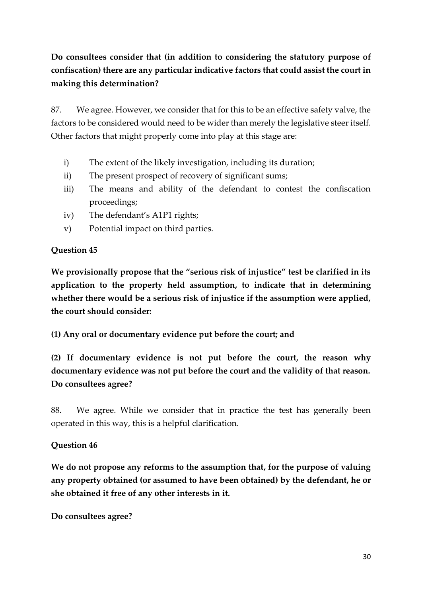# **Do consultees consider that (in addition to considering the statutory purpose of confiscation) there are any particular indicative factors that could assist the court in making this determination?**

87. We agree. However, we consider that for this to be an effective safety valve, the factors to be considered would need to be wider than merely the legislative steer itself. Other factors that might properly come into play at this stage are:

- i) The extent of the likely investigation, including its duration;
- ii) The present prospect of recovery of significant sums;
- iii) The means and ability of the defendant to contest the confiscation proceedings;
- iv) The defendant's A1P1 rights;
- v) Potential impact on third parties.

#### **Question 45**

**We provisionally propose that the "serious risk of injustice" test be clarified in its application to the property held assumption, to indicate that in determining whether there would be a serious risk of injustice if the assumption were applied, the court should consider:** 

**(1) Any oral or documentary evidence put before the court; and** 

**(2) If documentary evidence is not put before the court, the reason why documentary evidence was not put before the court and the validity of that reason. Do consultees agree?** 

88. We agree. While we consider that in practice the test has generally been operated in this way, this is a helpful clarification.

# **Question 46**

**We do not propose any reforms to the assumption that, for the purpose of valuing any property obtained (or assumed to have been obtained) by the defendant, he or she obtained it free of any other interests in it.** 

**Do consultees agree?**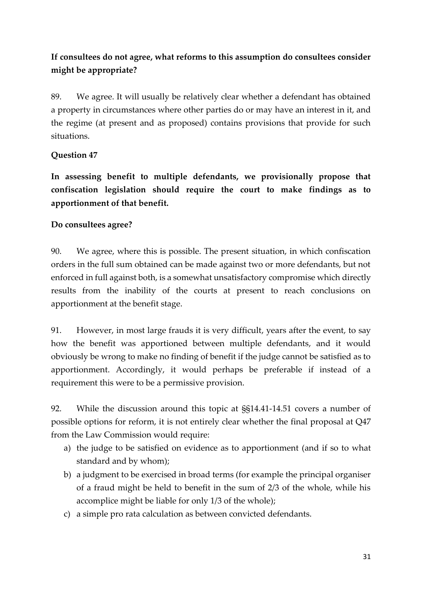# **If consultees do not agree, what reforms to this assumption do consultees consider might be appropriate?**

89. We agree. It will usually be relatively clear whether a defendant has obtained a property in circumstances where other parties do or may have an interest in it, and the regime (at present and as proposed) contains provisions that provide for such situations.

## **Question 47**

**In assessing benefit to multiple defendants, we provisionally propose that confiscation legislation should require the court to make findings as to apportionment of that benefit.** 

## **Do consultees agree?**

90. We agree, where this is possible. The present situation, in which confiscation orders in the full sum obtained can be made against two or more defendants, but not enforced in full against both, is a somewhat unsatisfactory compromise which directly results from the inability of the courts at present to reach conclusions on apportionment at the benefit stage.

91. However, in most large frauds it is very difficult, years after the event, to say how the benefit was apportioned between multiple defendants, and it would obviously be wrong to make no finding of benefit if the judge cannot be satisfied as to apportionment. Accordingly, it would perhaps be preferable if instead of a requirement this were to be a permissive provision.

92. While the discussion around this topic at §§14.41-14.51 covers a number of possible options for reform, it is not entirely clear whether the final proposal at Q47 from the Law Commission would require:

- a) the judge to be satisfied on evidence as to apportionment (and if so to what standard and by whom);
- b) a judgment to be exercised in broad terms (for example the principal organiser of a fraud might be held to benefit in the sum of 2/3 of the whole, while his accomplice might be liable for only 1/3 of the whole);
- c) a simple pro rata calculation as between convicted defendants.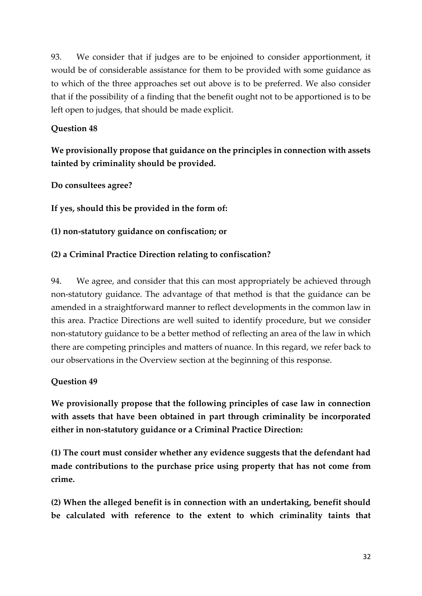93. We consider that if judges are to be enjoined to consider apportionment, it would be of considerable assistance for them to be provided with some guidance as to which of the three approaches set out above is to be preferred. We also consider that if the possibility of a finding that the benefit ought not to be apportioned is to be left open to judges, that should be made explicit.

## **Question 48**

# **We provisionally propose that guidance on the principles in connection with assets tainted by criminality should be provided.**

**Do consultees agree?** 

**If yes, should this be provided in the form of:** 

**(1) non-statutory guidance on confiscation; or** 

## **(2) a Criminal Practice Direction relating to confiscation?**

94. We agree, and consider that this can most appropriately be achieved through non-statutory guidance. The advantage of that method is that the guidance can be amended in a straightforward manner to reflect developments in the common law in this area. Practice Directions are well suited to identify procedure, but we consider non-statutory guidance to be a better method of reflecting an area of the law in which there are competing principles and matters of nuance. In this regard, we refer back to our observations in the Overview section at the beginning of this response.

#### **Question 49**

**We provisionally propose that the following principles of case law in connection with assets that have been obtained in part through criminality be incorporated either in non-statutory guidance or a Criminal Practice Direction:** 

**(1) The court must consider whether any evidence suggests that the defendant had made contributions to the purchase price using property that has not come from crime.** 

**(2) When the alleged benefit is in connection with an undertaking, benefit should be calculated with reference to the extent to which criminality taints that**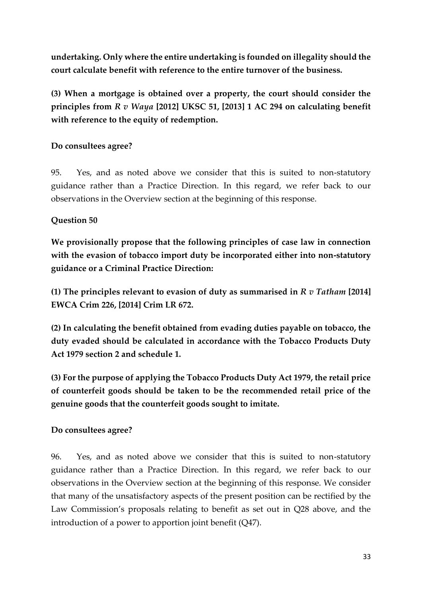**undertaking. Only where the entire undertaking is founded on illegality should the court calculate benefit with reference to the entire turnover of the business.** 

**(3) When a mortgage is obtained over a property, the court should consider the principles from** *R v Waya* **[2012] UKSC 51, [2013] 1 AC 294 on calculating benefit with reference to the equity of redemption.** 

## **Do consultees agree?**

95. Yes, and as noted above we consider that this is suited to non-statutory guidance rather than a Practice Direction. In this regard, we refer back to our observations in the Overview section at the beginning of this response.

# **Question 50**

**We provisionally propose that the following principles of case law in connection with the evasion of tobacco import duty be incorporated either into non-statutory guidance or a Criminal Practice Direction:** 

**(1) The principles relevant to evasion of duty as summarised in** *R v Tatham* **[2014] EWCA Crim 226, [2014] Crim LR 672.** 

**(2) In calculating the benefit obtained from evading duties payable on tobacco, the duty evaded should be calculated in accordance with the Tobacco Products Duty Act 1979 section 2 and schedule 1.** 

**(3) For the purpose of applying the Tobacco Products Duty Act 1979, the retail price of counterfeit goods should be taken to be the recommended retail price of the genuine goods that the counterfeit goods sought to imitate.** 

#### **Do consultees agree?**

96. Yes, and as noted above we consider that this is suited to non-statutory guidance rather than a Practice Direction. In this regard, we refer back to our observations in the Overview section at the beginning of this response. We consider that many of the unsatisfactory aspects of the present position can be rectified by the Law Commission's proposals relating to benefit as set out in Q28 above, and the introduction of a power to apportion joint benefit (Q47).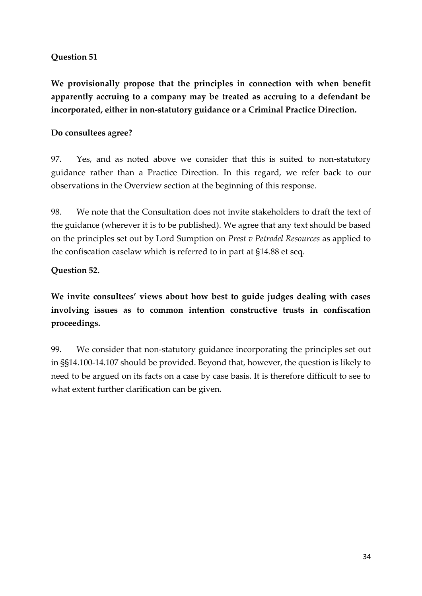## **Question 51**

**We provisionally propose that the principles in connection with when benefit apparently accruing to a company may be treated as accruing to a defendant be incorporated, either in non-statutory guidance or a Criminal Practice Direction.** 

## **Do consultees agree?**

97. Yes, and as noted above we consider that this is suited to non-statutory guidance rather than a Practice Direction. In this regard, we refer back to our observations in the Overview section at the beginning of this response.

98. We note that the Consultation does not invite stakeholders to draft the text of the guidance (wherever it is to be published). We agree that any text should be based on the principles set out by Lord Sumption on *Prest v Petrodel Resources* as applied to the confiscation caselaw which is referred to in part at §14.88 et seq.

## **Question 52.**

**We invite consultees' views about how best to guide judges dealing with cases involving issues as to common intention constructive trusts in confiscation proceedings.**

99. We consider that non-statutory guidance incorporating the principles set out in §§14.100-14.107 should be provided. Beyond that, however, the question is likely to need to be argued on its facts on a case by case basis. It is therefore difficult to see to what extent further clarification can be given.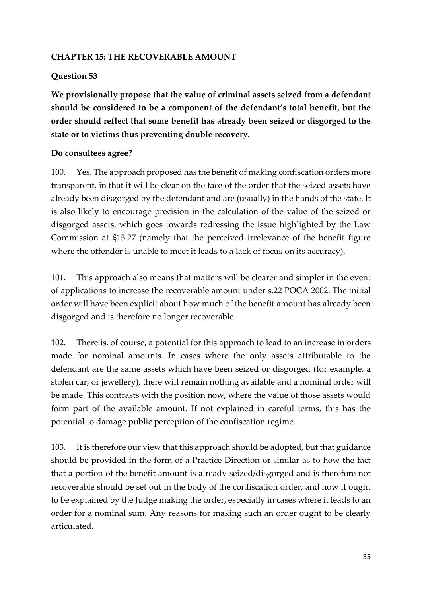#### **CHAPTER 15: THE RECOVERABLE AMOUNT**

#### **Question 53**

**We provisionally propose that the value of criminal assets seized from a defendant should be considered to be a component of the defendant's total benefit, but the order should reflect that some benefit has already been seized or disgorged to the state or to victims thus preventing double recovery.** 

## **Do consultees agree?**

100. Yes. The approach proposed has the benefit of making confiscation orders more transparent, in that it will be clear on the face of the order that the seized assets have already been disgorged by the defendant and are (usually) in the hands of the state. It is also likely to encourage precision in the calculation of the value of the seized or disgorged assets, which goes towards redressing the issue highlighted by the Law Commission at §15.27 (namely that the perceived irrelevance of the benefit figure where the offender is unable to meet it leads to a lack of focus on its accuracy).

101. This approach also means that matters will be clearer and simpler in the event of applications to increase the recoverable amount under s.22 POCA 2002. The initial order will have been explicit about how much of the benefit amount has already been disgorged and is therefore no longer recoverable.

102. There is, of course, a potential for this approach to lead to an increase in orders made for nominal amounts. In cases where the only assets attributable to the defendant are the same assets which have been seized or disgorged (for example, a stolen car, or jewellery), there will remain nothing available and a nominal order will be made. This contrasts with the position now, where the value of those assets would form part of the available amount. If not explained in careful terms, this has the potential to damage public perception of the confiscation regime.

103. It is therefore our view that this approach should be adopted, but that guidance should be provided in the form of a Practice Direction or similar as to how the fact that a portion of the benefit amount is already seized/disgorged and is therefore not recoverable should be set out in the body of the confiscation order, and how it ought to be explained by the Judge making the order, especially in cases where it leads to an order for a nominal sum. Any reasons for making such an order ought to be clearly articulated.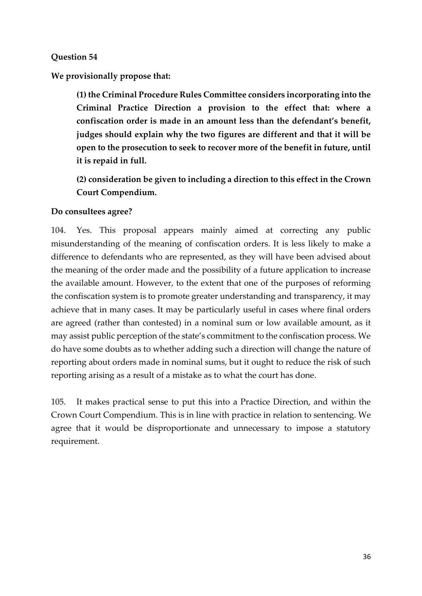#### **Question 54**

**We provisionally propose that:** 

**(1) the Criminal Procedure Rules Committee considers incorporating into the Criminal Practice Direction a provision to the effect that: where a confiscation order is made in an amount less than the defendant's benefit, judges should explain why the two figures are different and that it will be open to the prosecution to seek to recover more of the benefit in future, until it is repaid in full.** 

**(2) consideration be given to including a direction to this effect in the Crown Court Compendium.**

#### **Do consultees agree?**

104. Yes. This proposal appears mainly aimed at correcting any public misunderstanding of the meaning of confiscation orders. It is less likely to make a difference to defendants who are represented, as they will have been advised about the meaning of the order made and the possibility of a future application to increase the available amount. However, to the extent that one of the purposes of reforming the confiscation system is to promote greater understanding and transparency, it may achieve that in many cases. It may be particularly useful in cases where final orders are agreed (rather than contested) in a nominal sum or low available amount, as it may assist public perception of the state's commitment to the confiscation process. We do have some doubts as to whether adding such a direction will change the nature of reporting about orders made in nominal sums, but it ought to reduce the risk of such reporting arising as a result of a mistake as to what the court has done.

105. It makes practical sense to put this into a Practice Direction, and within the Crown Court Compendium. This is in line with practice in relation to sentencing. We agree that it would be disproportionate and unnecessary to impose a statutory requirement.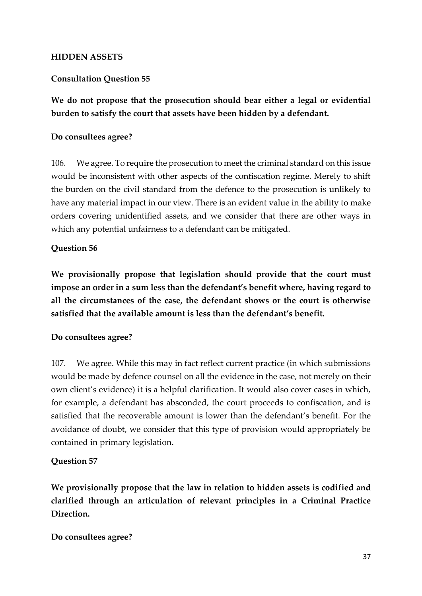#### **HIDDEN ASSETS**

#### **Consultation Question 55**

**We do not propose that the prosecution should bear either a legal or evidential burden to satisfy the court that assets have been hidden by a defendant.** 

#### **Do consultees agree?**

106. We agree. To require the prosecution to meet the criminal standard on this issue would be inconsistent with other aspects of the confiscation regime. Merely to shift the burden on the civil standard from the defence to the prosecution is unlikely to have any material impact in our view. There is an evident value in the ability to make orders covering unidentified assets, and we consider that there are other ways in which any potential unfairness to a defendant can be mitigated.

#### **Question 56**

**We provisionally propose that legislation should provide that the court must impose an order in a sum less than the defendant's benefit where, having regard to all the circumstances of the case, the defendant shows or the court is otherwise satisfied that the available amount is less than the defendant's benefit.** 

#### **Do consultees agree?**

107. We agree. While this may in fact reflect current practice (in which submissions would be made by defence counsel on all the evidence in the case, not merely on their own client's evidence) it is a helpful clarification. It would also cover cases in which, for example, a defendant has absconded, the court proceeds to confiscation, and is satisfied that the recoverable amount is lower than the defendant's benefit. For the avoidance of doubt, we consider that this type of provision would appropriately be contained in primary legislation.

#### **Question 57**

**We provisionally propose that the law in relation to hidden assets is codified and clarified through an articulation of relevant principles in a Criminal Practice Direction.** 

**Do consultees agree?**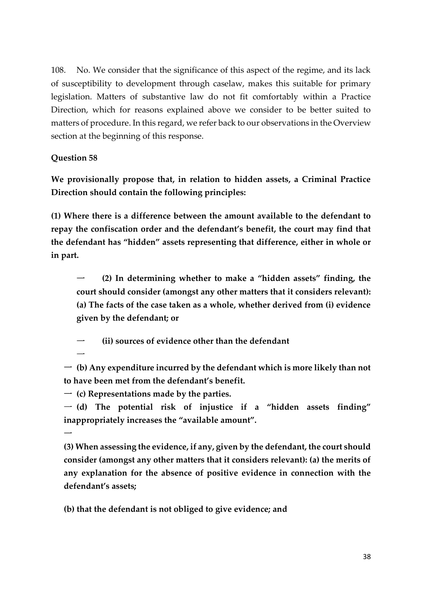108. No. We consider that the significance of this aspect of the regime, and its lack of susceptibility to development through caselaw, makes this suitable for primary legislation. Matters of substantive law do not fit comfortably within a Practice Direction, which for reasons explained above we consider to be better suited to matters of procedure. In this regard, we refer back to our observations in the Overview section at the beginning of this response.

#### **Question 58**

**We provisionally propose that, in relation to hidden assets, a Criminal Practice Direction should contain the following principles:** 

**(1) Where there is a difference between the amount available to the defendant to repay the confiscation order and the defendant's benefit, the court may find that the defendant has "hidden" assets representing that difference, either in whole or in part.** 

一 **(2) In determining whether to make a "hidden assets" finding, the court should consider (amongst any other matters that it considers relevant): (a) The facts of the case taken as a whole, whether derived from (i) evidence given by the defendant; or** 

(ii) sources of evidence other than the defendant

 $\overline{\phantom{0}}$ 

 $\overline{\phantom{0}}$ 

一 **(b) Any expenditure incurred by the defendant which is more likely than not to have been met from the defendant's benefit.** 

一 **(c) Representations made by the parties.** 

一 **(d) The potential risk of injustice if a "hidden assets finding" inappropriately increases the "available amount".** 

**(3) When assessing the evidence, if any, given by the defendant, the court should consider (amongst any other matters that it considers relevant): (a) the merits of any explanation for the absence of positive evidence in connection with the defendant's assets;** 

**(b) that the defendant is not obliged to give evidence; and**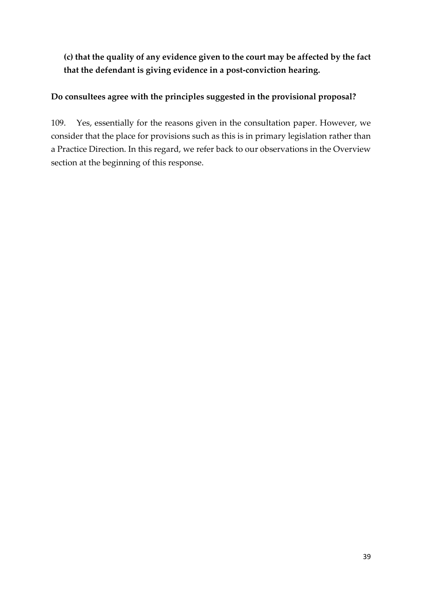**(c) that the quality of any evidence given to the court may be affected by the fact that the defendant is giving evidence in a post-conviction hearing.** 

## **Do consultees agree with the principles suggested in the provisional proposal?**

109. Yes, essentially for the reasons given in the consultation paper. However, we consider that the place for provisions such as this is in primary legislation rather than a Practice Direction. In this regard, we refer back to our observations in the Overview section at the beginning of this response.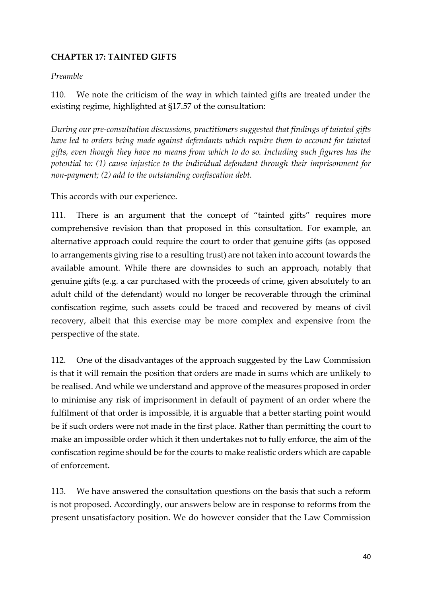## **CHAPTER 17: TAINTED GIFTS**

#### *Preamble*

110. We note the criticism of the way in which tainted gifts are treated under the existing regime, highlighted at §17.57 of the consultation:

*During our pre-consultation discussions, practitioners suggested that findings of tainted gifts have led to orders being made against defendants which require them to account for tainted gifts, even though they have no means from which to do so. Including such figures has the potential to: (1) cause injustice to the individual defendant through their imprisonment for non-payment; (2) add to the outstanding confiscation debt.*

This accords with our experience.

111. There is an argument that the concept of "tainted gifts" requires more comprehensive revision than that proposed in this consultation. For example, an alternative approach could require the court to order that genuine gifts (as opposed to arrangements giving rise to a resulting trust) are not taken into account towards the available amount. While there are downsides to such an approach, notably that genuine gifts (e.g. a car purchased with the proceeds of crime, given absolutely to an adult child of the defendant) would no longer be recoverable through the criminal confiscation regime, such assets could be traced and recovered by means of civil recovery, albeit that this exercise may be more complex and expensive from the perspective of the state.

112. One of the disadvantages of the approach suggested by the Law Commission is that it will remain the position that orders are made in sums which are unlikely to be realised. And while we understand and approve of the measures proposed in order to minimise any risk of imprisonment in default of payment of an order where the fulfilment of that order is impossible, it is arguable that a better starting point would be if such orders were not made in the first place. Rather than permitting the court to make an impossible order which it then undertakes not to fully enforce, the aim of the confiscation regime should be for the courts to make realistic orders which are capable of enforcement.

113. We have answered the consultation questions on the basis that such a reform is not proposed. Accordingly, our answers below are in response to reforms from the present unsatisfactory position. We do however consider that the Law Commission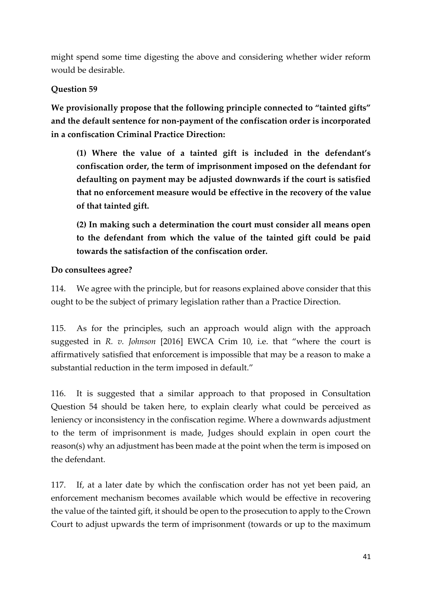might spend some time digesting the above and considering whether wider reform would be desirable.

# **Question 59**

**We provisionally propose that the following principle connected to "tainted gifts" and the default sentence for non-payment of the confiscation order is incorporated in a confiscation Criminal Practice Direction:**

**(1) Where the value of a tainted gift is included in the defendant's confiscation order, the term of imprisonment imposed on the defendant for defaulting on payment may be adjusted downwards if the court is satisfied that no enforcement measure would be effective in the recovery of the value of that tainted gift.**

**(2) In making such a determination the court must consider all means open to the defendant from which the value of the tainted gift could be paid towards the satisfaction of the confiscation order.** 

## **Do consultees agree?**

114. We agree with the principle, but for reasons explained above consider that this ought to be the subject of primary legislation rather than a Practice Direction.

115. As for the principles, such an approach would align with the approach suggested in *R. v. Johnson* [2016] EWCA Crim 10, i.e. that "where the court is affirmatively satisfied that enforcement is impossible that may be a reason to make a substantial reduction in the term imposed in default."

116. It is suggested that a similar approach to that proposed in Consultation Question 54 should be taken here, to explain clearly what could be perceived as leniency or inconsistency in the confiscation regime. Where a downwards adjustment to the term of imprisonment is made, Judges should explain in open court the reason(s) why an adjustment has been made at the point when the term is imposed on the defendant.

117. If, at a later date by which the confiscation order has not yet been paid, an enforcement mechanism becomes available which would be effective in recovering the value of the tainted gift, it should be open to the prosecution to apply to the Crown Court to adjust upwards the term of imprisonment (towards or up to the maximum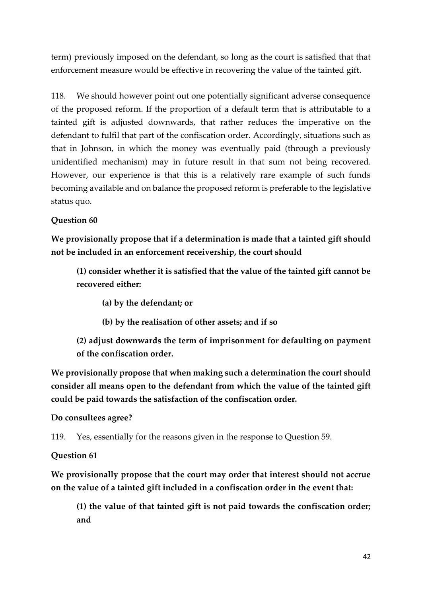term) previously imposed on the defendant, so long as the court is satisfied that that enforcement measure would be effective in recovering the value of the tainted gift.

118. We should however point out one potentially significant adverse consequence of the proposed reform. If the proportion of a default term that is attributable to a tainted gift is adjusted downwards, that rather reduces the imperative on the defendant to fulfil that part of the confiscation order. Accordingly, situations such as that in Johnson, in which the money was eventually paid (through a previously unidentified mechanism) may in future result in that sum not being recovered. However, our experience is that this is a relatively rare example of such funds becoming available and on balance the proposed reform is preferable to the legislative status quo.

## **Question 60**

**We provisionally propose that if a determination is made that a tainted gift should not be included in an enforcement receivership, the court should** 

**(1) consider whether it is satisfied that the value of the tainted gift cannot be recovered either:** 

- **(a) by the defendant; or**
- **(b) by the realisation of other assets; and if so**
- **(2) adjust downwards the term of imprisonment for defaulting on payment of the confiscation order.**

**We provisionally propose that when making such a determination the court should consider all means open to the defendant from which the value of the tainted gift could be paid towards the satisfaction of the confiscation order.**

#### **Do consultees agree?**

119. Yes, essentially for the reasons given in the response to Question 59.

#### **Question 61**

**We provisionally propose that the court may order that interest should not accrue on the value of a tainted gift included in a confiscation order in the event that:** 

**(1) the value of that tainted gift is not paid towards the confiscation order; and**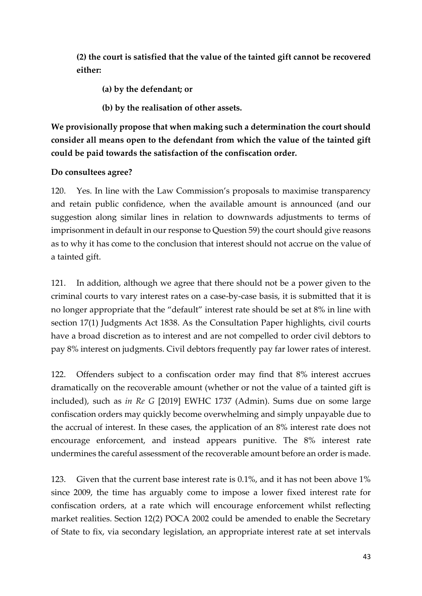**(2) the court is satisfied that the value of the tainted gift cannot be recovered either:** 

**(a) by the defendant; or** 

**(b) by the realisation of other assets.** 

**We provisionally propose that when making such a determination the court should consider all means open to the defendant from which the value of the tainted gift could be paid towards the satisfaction of the confiscation order.**

## **Do consultees agree?**

120. Yes. In line with the Law Commission's proposals to maximise transparency and retain public confidence, when the available amount is announced (and our suggestion along similar lines in relation to downwards adjustments to terms of imprisonment in default in our response to Question 59) the court should give reasons as to why it has come to the conclusion that interest should not accrue on the value of a tainted gift.

121. In addition, although we agree that there should not be a power given to the criminal courts to vary interest rates on a case-by-case basis, it is submitted that it is no longer appropriate that the "default" interest rate should be set at 8% in line with section 17(1) Judgments Act 1838. As the Consultation Paper highlights, civil courts have a broad discretion as to interest and are not compelled to order civil debtors to pay 8% interest on judgments. Civil debtors frequently pay far lower rates of interest.

122. Offenders subject to a confiscation order may find that 8% interest accrues dramatically on the recoverable amount (whether or not the value of a tainted gift is included), such as *in Re G* [2019] EWHC 1737 (Admin). Sums due on some large confiscation orders may quickly become overwhelming and simply unpayable due to the accrual of interest. In these cases, the application of an 8% interest rate does not encourage enforcement, and instead appears punitive. The 8% interest rate undermines the careful assessment of the recoverable amount before an order is made.

123. Given that the current base interest rate is 0.1%, and it has not been above 1% since 2009, the time has arguably come to impose a lower fixed interest rate for confiscation orders, at a rate which will encourage enforcement whilst reflecting market realities. Section 12(2) POCA 2002 could be amended to enable the Secretary of State to fix, via secondary legislation, an appropriate interest rate at set intervals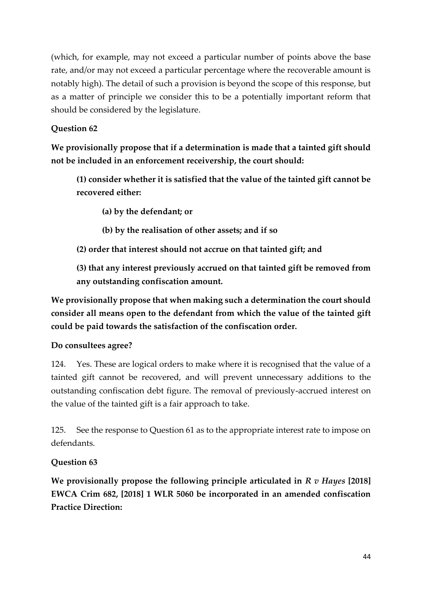(which, for example, may not exceed a particular number of points above the base rate, and/or may not exceed a particular percentage where the recoverable amount is notably high). The detail of such a provision is beyond the scope of this response, but as a matter of principle we consider this to be a potentially important reform that should be considered by the legislature.

# **Question 62**

**We provisionally propose that if a determination is made that a tainted gift should not be included in an enforcement receivership, the court should:**

**(1) consider whether it is satisfied that the value of the tainted gift cannot be recovered either:** 

**(a) by the defendant; or** 

**(b) by the realisation of other assets; and if so** 

**(2) order that interest should not accrue on that tainted gift; and** 

**(3) that any interest previously accrued on that tainted gift be removed from any outstanding confiscation amount.** 

**We provisionally propose that when making such a determination the court should consider all means open to the defendant from which the value of the tainted gift could be paid towards the satisfaction of the confiscation order.** 

# **Do consultees agree?**

124. Yes. These are logical orders to make where it is recognised that the value of a tainted gift cannot be recovered, and will prevent unnecessary additions to the outstanding confiscation debt figure. The removal of previously-accrued interest on the value of the tainted gift is a fair approach to take.

125. See the response to Question 61 as to the appropriate interest rate to impose on defendants.

# **Question 63**

**We provisionally propose the following principle articulated in** *R v Hayes* **[2018] EWCA Crim 682, [2018] 1 WLR 5060 be incorporated in an amended confiscation Practice Direction:**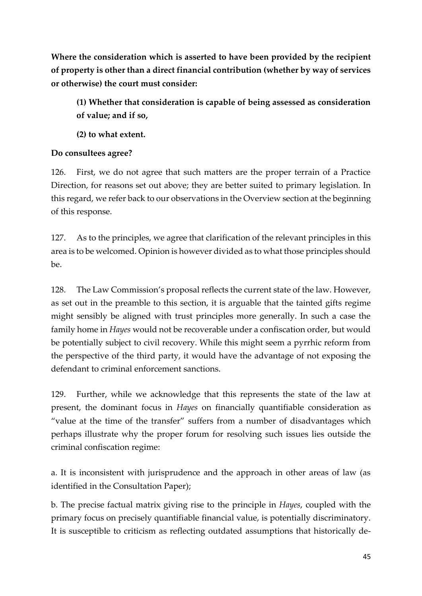**Where the consideration which is asserted to have been provided by the recipient of property is other than a direct financial contribution (whether by way of services or otherwise) the court must consider:** 

**(1) Whether that consideration is capable of being assessed as consideration of value; and if so,** 

**(2) to what extent.** 

#### **Do consultees agree?**

126. First, we do not agree that such matters are the proper terrain of a Practice Direction, for reasons set out above; they are better suited to primary legislation. In this regard, we refer back to our observations in the Overview section at the beginning of this response.

127. As to the principles, we agree that clarification of the relevant principles in this area is to be welcomed. Opinion is however divided as to what those principles should be.

128. The Law Commission's proposal reflects the current state of the law. However, as set out in the preamble to this section, it is arguable that the tainted gifts regime might sensibly be aligned with trust principles more generally. In such a case the family home in *Hayes* would not be recoverable under a confiscation order, but would be potentially subject to civil recovery. While this might seem a pyrrhic reform from the perspective of the third party, it would have the advantage of not exposing the defendant to criminal enforcement sanctions.

129. Further, while we acknowledge that this represents the state of the law at present, the dominant focus in *Hayes* on financially quantifiable consideration as "value at the time of the transfer" suffers from a number of disadvantages which perhaps illustrate why the proper forum for resolving such issues lies outside the criminal confiscation regime:

a. It is inconsistent with jurisprudence and the approach in other areas of law (as identified in the Consultation Paper);

b. The precise factual matrix giving rise to the principle in *Hayes*, coupled with the primary focus on precisely quantifiable financial value, is potentially discriminatory. It is susceptible to criticism as reflecting outdated assumptions that historically de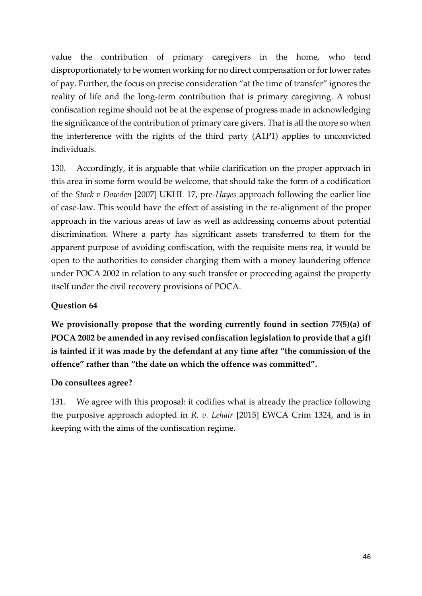value the contribution of primary caregivers in the home, who tend disproportionately to be women working for no direct compensation or for lower rates of pay. Further, the focus on precise consideration "at the time of transfer" ignores the reality of life and the long-term contribution that is primary caregiving. A robust confiscation regime should not be at the expense of progress made in acknowledging the significance of the contribution of primary care givers. That is all the more so when the interference with the rights of the third party (A1P1) applies to unconvicted individuals.

130. Accordingly, it is arguable that while clarification on the proper approach in this area in some form would be welcome, that should take the form of a codification of the *Stack v Dowden* [2007] UKHL 17, pre-*Hayes* approach following the earlier line of case-law. This would have the effect of assisting in the re-alignment of the proper approach in the various areas of law as well as addressing concerns about potential discrimination. Where a party has significant assets transferred to them for the apparent purpose of avoiding confiscation, with the requisite mens rea, it would be open to the authorities to consider charging them with a money laundering offence under POCA 2002 in relation to any such transfer or proceeding against the property itself under the civil recovery provisions of POCA.

#### **Question 64**

**We provisionally propose that the wording currently found in section 77(5)(a) of POCA 2002 be amended in any revised confiscation legislation to provide that a gift is tainted if it was made by the defendant at any time after "the commission of the offence" rather than "the date on which the offence was committed".**

#### **Do consultees agree?**

131. We agree with this proposal: it codifies what is already the practice following the purposive approach adopted in *R. v. Lehair* [2015] EWCA Crim 1324, and is in keeping with the aims of the confiscation regime.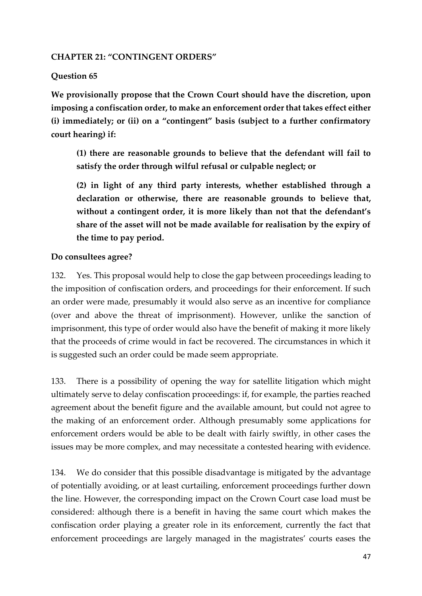#### **CHAPTER 21: "CONTINGENT ORDERS"**

### **Question 65**

**We provisionally propose that the Crown Court should have the discretion, upon imposing a confiscation order, to make an enforcement order that takes effect either (i) immediately; or (ii) on a "contingent" basis (subject to a further confirmatory court hearing) if:** 

**(1) there are reasonable grounds to believe that the defendant will fail to satisfy the order through wilful refusal or culpable neglect; or** 

**(2) in light of any third party interests, whether established through a declaration or otherwise, there are reasonable grounds to believe that, without a contingent order, it is more likely than not that the defendant's share of the asset will not be made available for realisation by the expiry of the time to pay period.** 

#### **Do consultees agree?**

132. Yes. This proposal would help to close the gap between proceedings leading to the imposition of confiscation orders, and proceedings for their enforcement. If such an order were made, presumably it would also serve as an incentive for compliance (over and above the threat of imprisonment). However, unlike the sanction of imprisonment, this type of order would also have the benefit of making it more likely that the proceeds of crime would in fact be recovered. The circumstances in which it is suggested such an order could be made seem appropriate.

133. There is a possibility of opening the way for satellite litigation which might ultimately serve to delay confiscation proceedings: if, for example, the parties reached agreement about the benefit figure and the available amount, but could not agree to the making of an enforcement order. Although presumably some applications for enforcement orders would be able to be dealt with fairly swiftly, in other cases the issues may be more complex, and may necessitate a contested hearing with evidence.

134. We do consider that this possible disadvantage is mitigated by the advantage of potentially avoiding, or at least curtailing, enforcement proceedings further down the line. However, the corresponding impact on the Crown Court case load must be considered: although there is a benefit in having the same court which makes the confiscation order playing a greater role in its enforcement, currently the fact that enforcement proceedings are largely managed in the magistrates' courts eases the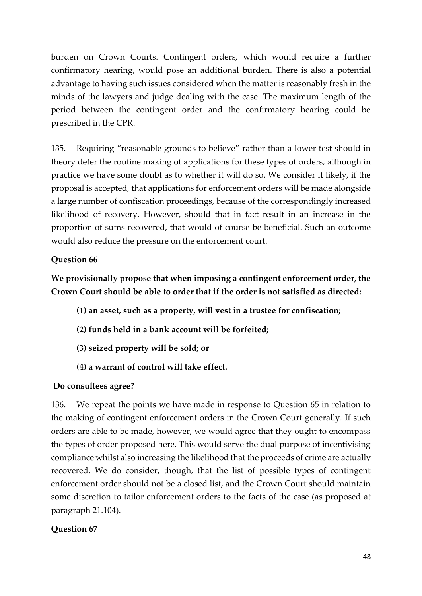burden on Crown Courts. Contingent orders, which would require a further confirmatory hearing, would pose an additional burden. There is also a potential advantage to having such issues considered when the matter is reasonably fresh in the minds of the lawyers and judge dealing with the case. The maximum length of the period between the contingent order and the confirmatory hearing could be prescribed in the CPR.

135. Requiring "reasonable grounds to believe" rather than a lower test should in theory deter the routine making of applications for these types of orders, although in practice we have some doubt as to whether it will do so. We consider it likely, if the proposal is accepted, that applications for enforcement orders will be made alongside a large number of confiscation proceedings, because of the correspondingly increased likelihood of recovery. However, should that in fact result in an increase in the proportion of sums recovered, that would of course be beneficial. Such an outcome would also reduce the pressure on the enforcement court.

## **Question 66**

# **We provisionally propose that when imposing a contingent enforcement order, the Crown Court should be able to order that if the order is not satisfied as directed:**

- **(1) an asset, such as a property, will vest in a trustee for confiscation;**
- **(2) funds held in a bank account will be forfeited;**
- **(3) seized property will be sold; or**
- **(4) a warrant of control will take effect.**

#### **Do consultees agree?**

136. We repeat the points we have made in response to Question 65 in relation to the making of contingent enforcement orders in the Crown Court generally. If such orders are able to be made, however, we would agree that they ought to encompass the types of order proposed here. This would serve the dual purpose of incentivising compliance whilst also increasing the likelihood that the proceeds of crime are actually recovered. We do consider, though, that the list of possible types of contingent enforcement order should not be a closed list, and the Crown Court should maintain some discretion to tailor enforcement orders to the facts of the case (as proposed at paragraph 21.104).

#### **Question 67**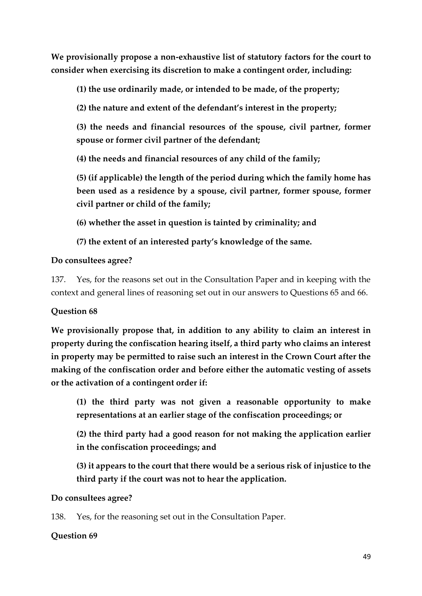**We provisionally propose a non-exhaustive list of statutory factors for the court to consider when exercising its discretion to make a contingent order, including:** 

**(1) the use ordinarily made, or intended to be made, of the property;** 

**(2) the nature and extent of the defendant's interest in the property;**

**(3) the needs and financial resources of the spouse, civil partner, former spouse or former civil partner of the defendant;**

**(4) the needs and financial resources of any child of the family;** 

**(5) (if applicable) the length of the period during which the family home has been used as a residence by a spouse, civil partner, former spouse, former civil partner or child of the family;** 

**(6) whether the asset in question is tainted by criminality; and** 

**(7) the extent of an interested party's knowledge of the same.** 

## **Do consultees agree?**

137. Yes, for the reasons set out in the Consultation Paper and in keeping with the context and general lines of reasoning set out in our answers to Questions 65 and 66.

# **Question 68**

**We provisionally propose that, in addition to any ability to claim an interest in property during the confiscation hearing itself, a third party who claims an interest in property may be permitted to raise such an interest in the Crown Court after the making of the confiscation order and before either the automatic vesting of assets or the activation of a contingent order if:** 

**(1) the third party was not given a reasonable opportunity to make representations at an earlier stage of the confiscation proceedings; or** 

**(2) the third party had a good reason for not making the application earlier in the confiscation proceedings; and** 

**(3) it appears to the court that there would be a serious risk of injustice to the third party if the court was not to hear the application.** 

#### **Do consultees agree?**

138. Yes, for the reasoning set out in the Consultation Paper.

#### **Question 69**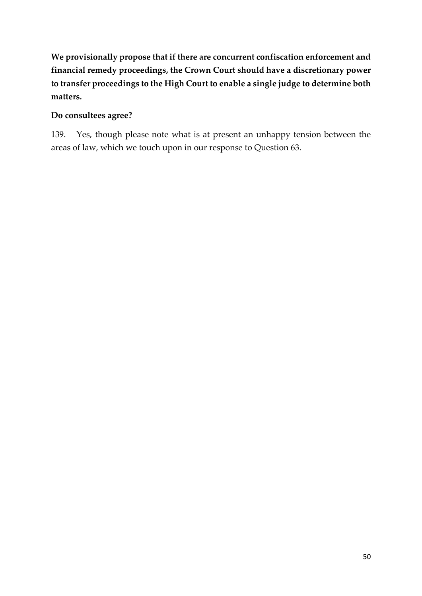**We provisionally propose that if there are concurrent confiscation enforcement and financial remedy proceedings, the Crown Court should have a discretionary power to transfer proceedings to the High Court to enable a single judge to determine both matters.**

## **Do consultees agree?**

139. Yes, though please note what is at present an unhappy tension between the areas of law, which we touch upon in our response to Question 63.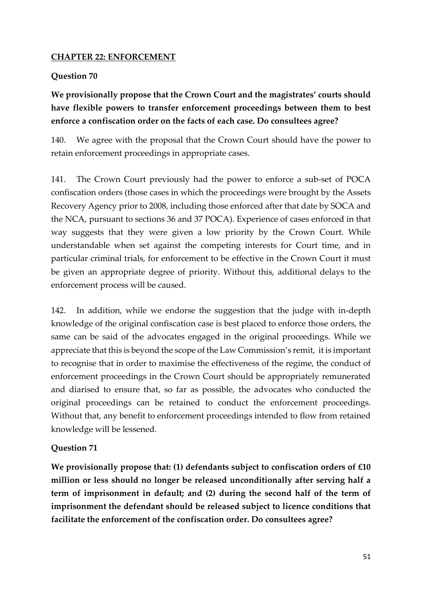#### **CHAPTER 22: ENFORCEMENT**

#### **Question 70**

# **We provisionally propose that the Crown Court and the magistrates' courts should have flexible powers to transfer enforcement proceedings between them to best enforce a confiscation order on the facts of each case. Do consultees agree?**

140. We agree with the proposal that the Crown Court should have the power to retain enforcement proceedings in appropriate cases.

141. The Crown Court previously had the power to enforce a sub-set of POCA confiscation orders (those cases in which the proceedings were brought by the Assets Recovery Agency prior to 2008, including those enforced after that date by SOCA and the NCA, pursuant to sections 36 and 37 POCA). Experience of cases enforced in that way suggests that they were given a low priority by the Crown Court. While understandable when set against the competing interests for Court time, and in particular criminal trials, for enforcement to be effective in the Crown Court it must be given an appropriate degree of priority. Without this, additional delays to the enforcement process will be caused.

142. In addition, while we endorse the suggestion that the judge with in-depth knowledge of the original confiscation case is best placed to enforce those orders, the same can be said of the advocates engaged in the original proceedings. While we appreciate that this is beyond the scope of the Law Commission's remit, it is important to recognise that in order to maximise the effectiveness of the regime, the conduct of enforcement proceedings in the Crown Court should be appropriately remunerated and diarised to ensure that, so far as possible, the advocates who conducted the original proceedings can be retained to conduct the enforcement proceedings. Without that, any benefit to enforcement proceedings intended to flow from retained knowledge will be lessened.

#### **Question 71**

**We provisionally propose that: (1) defendants subject to confiscation orders of £10 million or less should no longer be released unconditionally after serving half a term of imprisonment in default; and (2) during the second half of the term of imprisonment the defendant should be released subject to licence conditions that facilitate the enforcement of the confiscation order. Do consultees agree?**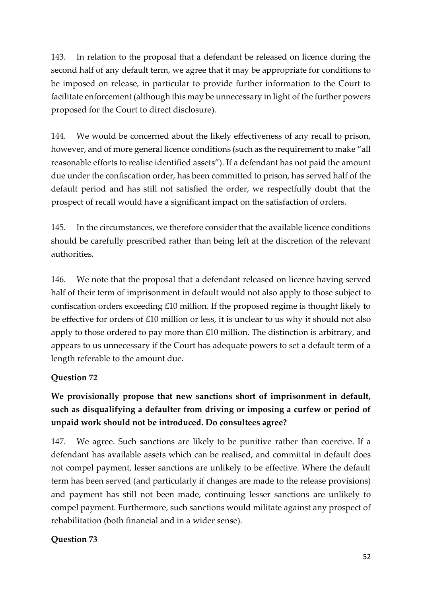143. In relation to the proposal that a defendant be released on licence during the second half of any default term, we agree that it may be appropriate for conditions to be imposed on release, in particular to provide further information to the Court to facilitate enforcement (although this may be unnecessary in light of the further powers proposed for the Court to direct disclosure).

144. We would be concerned about the likely effectiveness of any recall to prison, however, and of more general licence conditions (such as the requirement to make "all reasonable efforts to realise identified assets"). If a defendant has not paid the amount due under the confiscation order, has been committed to prison, has served half of the default period and has still not satisfied the order, we respectfully doubt that the prospect of recall would have a significant impact on the satisfaction of orders.

145. In the circumstances, we therefore consider that the available licence conditions should be carefully prescribed rather than being left at the discretion of the relevant authorities.

146. We note that the proposal that a defendant released on licence having served half of their term of imprisonment in default would not also apply to those subject to confiscation orders exceeding £10 million. If the proposed regime is thought likely to be effective for orders of £10 million or less, it is unclear to us why it should not also apply to those ordered to pay more than £10 million. The distinction is arbitrary, and appears to us unnecessary if the Court has adequate powers to set a default term of a length referable to the amount due.

# **Question 72**

# **We provisionally propose that new sanctions short of imprisonment in default, such as disqualifying a defaulter from driving or imposing a curfew or period of unpaid work should not be introduced. Do consultees agree?**

147. We agree. Such sanctions are likely to be punitive rather than coercive. If a defendant has available assets which can be realised, and committal in default does not compel payment, lesser sanctions are unlikely to be effective. Where the default term has been served (and particularly if changes are made to the release provisions) and payment has still not been made, continuing lesser sanctions are unlikely to compel payment. Furthermore, such sanctions would militate against any prospect of rehabilitation (both financial and in a wider sense).

# **Question 73**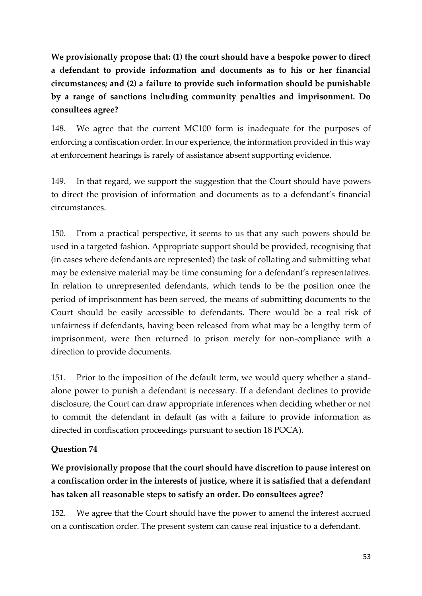**We provisionally propose that: (1) the court should have a bespoke power to direct a defendant to provide information and documents as to his or her financial circumstances; and (2) a failure to provide such information should be punishable by a range of sanctions including community penalties and imprisonment. Do consultees agree?** 

148. We agree that the current MC100 form is inadequate for the purposes of enforcing a confiscation order. In our experience, the information provided in this way at enforcement hearings is rarely of assistance absent supporting evidence.

149. In that regard, we support the suggestion that the Court should have powers to direct the provision of information and documents as to a defendant's financial circumstances.

150. From a practical perspective, it seems to us that any such powers should be used in a targeted fashion. Appropriate support should be provided, recognising that (in cases where defendants are represented) the task of collating and submitting what may be extensive material may be time consuming for a defendant's representatives. In relation to unrepresented defendants, which tends to be the position once the period of imprisonment has been served, the means of submitting documents to the Court should be easily accessible to defendants. There would be a real risk of unfairness if defendants, having been released from what may be a lengthy term of imprisonment, were then returned to prison merely for non-compliance with a direction to provide documents.

151. Prior to the imposition of the default term, we would query whether a standalone power to punish a defendant is necessary. If a defendant declines to provide disclosure, the Court can draw appropriate inferences when deciding whether or not to commit the defendant in default (as with a failure to provide information as directed in confiscation proceedings pursuant to section 18 POCA).

#### **Question 74**

# **We provisionally propose that the court should have discretion to pause interest on a confiscation order in the interests of justice, where it is satisfied that a defendant has taken all reasonable steps to satisfy an order. Do consultees agree?**

152. We agree that the Court should have the power to amend the interest accrued on a confiscation order. The present system can cause real injustice to a defendant.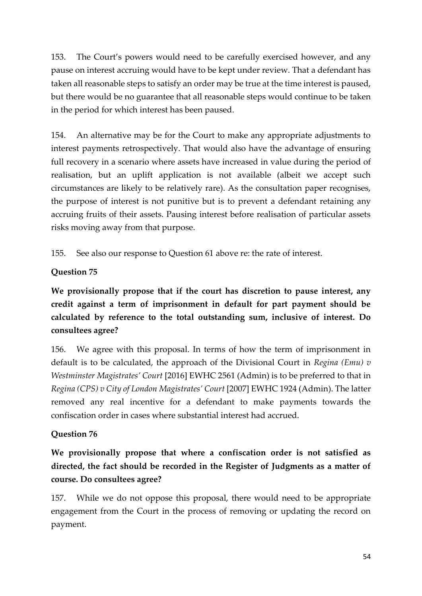153. The Court's powers would need to be carefully exercised however, and any pause on interest accruing would have to be kept under review. That a defendant has taken all reasonable steps to satisfy an order may be true at the time interest is paused, but there would be no guarantee that all reasonable steps would continue to be taken in the period for which interest has been paused.

154. An alternative may be for the Court to make any appropriate adjustments to interest payments retrospectively. That would also have the advantage of ensuring full recovery in a scenario where assets have increased in value during the period of realisation, but an uplift application is not available (albeit we accept such circumstances are likely to be relatively rare). As the consultation paper recognises, the purpose of interest is not punitive but is to prevent a defendant retaining any accruing fruits of their assets. Pausing interest before realisation of particular assets risks moving away from that purpose.

155. See also our response to Question 61 above re: the rate of interest.

## **Question 75**

**We provisionally propose that if the court has discretion to pause interest, any credit against a term of imprisonment in default for part payment should be calculated by reference to the total outstanding sum, inclusive of interest. Do consultees agree?**

156. We agree with this proposal. In terms of how the term of imprisonment in default is to be calculated, the approach of the Divisional Court in *Regina (Emu) v Westminster Magistrates' Court* [2016] EWHC 2561 (Admin) is to be preferred to that in *Regina (CPS) v City of London Magistrates' Court* [2007] EWHC 1924 (Admin). The latter removed any real incentive for a defendant to make payments towards the confiscation order in cases where substantial interest had accrued.

#### **Question 76**

**We provisionally propose that where a confiscation order is not satisfied as directed, the fact should be recorded in the Register of Judgments as a matter of course. Do consultees agree?**

157. While we do not oppose this proposal, there would need to be appropriate engagement from the Court in the process of removing or updating the record on payment.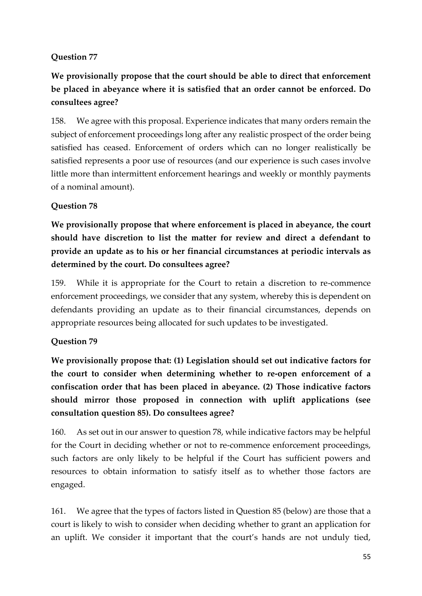## **Question 77**

**We provisionally propose that the court should be able to direct that enforcement be placed in abeyance where it is satisfied that an order cannot be enforced. Do consultees agree?**

158. We agree with this proposal. Experience indicates that many orders remain the subject of enforcement proceedings long after any realistic prospect of the order being satisfied has ceased. Enforcement of orders which can no longer realistically be satisfied represents a poor use of resources (and our experience is such cases involve little more than intermittent enforcement hearings and weekly or monthly payments of a nominal amount).

## **Question 78**

**We provisionally propose that where enforcement is placed in abeyance, the court should have discretion to list the matter for review and direct a defendant to provide an update as to his or her financial circumstances at periodic intervals as determined by the court. Do consultees agree?** 

159. While it is appropriate for the Court to retain a discretion to re-commence enforcement proceedings, we consider that any system, whereby this is dependent on defendants providing an update as to their financial circumstances, depends on appropriate resources being allocated for such updates to be investigated.

#### **Question 79**

**We provisionally propose that: (1) Legislation should set out indicative factors for the court to consider when determining whether to re-open enforcement of a confiscation order that has been placed in abeyance. (2) Those indicative factors should mirror those proposed in connection with uplift applications (see consultation question 85). Do consultees agree?**

160. As set out in our answer to question 78, while indicative factors may be helpful for the Court in deciding whether or not to re-commence enforcement proceedings, such factors are only likely to be helpful if the Court has sufficient powers and resources to obtain information to satisfy itself as to whether those factors are engaged.

161. We agree that the types of factors listed in Question 85 (below) are those that a court is likely to wish to consider when deciding whether to grant an application for an uplift. We consider it important that the court's hands are not unduly tied,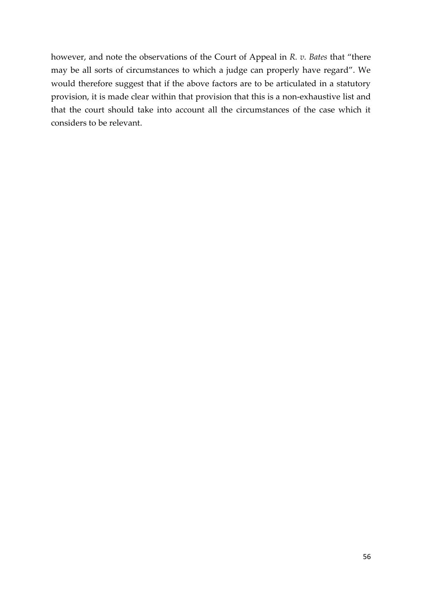however, and note the observations of the Court of Appeal in *R. v. Bates* that "there may be all sorts of circumstances to which a judge can properly have regard". We would therefore suggest that if the above factors are to be articulated in a statutory provision, it is made clear within that provision that this is a non-exhaustive list and that the court should take into account all the circumstances of the case which it considers to be relevant.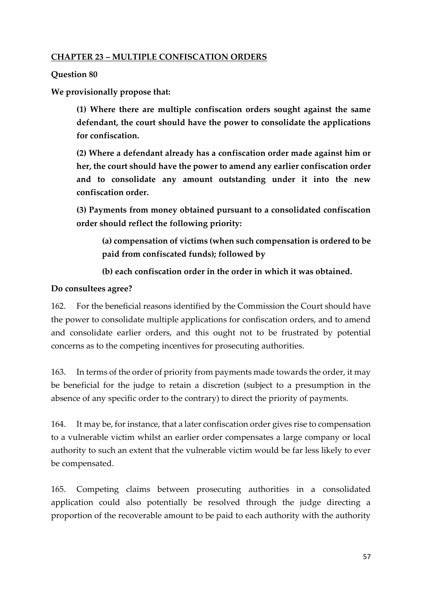#### **CHAPTER 23 – MULTIPLE CONFISCATION ORDERS**

#### **Question 80**

**We provisionally propose that:**

**(1) Where there are multiple confiscation orders sought against the same defendant, the court should have the power to consolidate the applications for confiscation.**

**(2) Where a defendant already has a confiscation order made against him or her, the court should have the power to amend any earlier confiscation order and to consolidate any amount outstanding under it into the new confiscation order.**

**(3) Payments from money obtained pursuant to a consolidated confiscation order should reflect the following priority:**

**(a) compensation of victims (when such compensation is ordered to be paid from confiscated funds); followed by**

#### **(b) each confiscation order in the order in which it was obtained.**

#### **Do consultees agree?**

162. For the beneficial reasons identified by the Commission the Court should have the power to consolidate multiple applications for confiscation orders, and to amend and consolidate earlier orders, and this ought not to be frustrated by potential concerns as to the competing incentives for prosecuting authorities.

163. In terms of the order of priority from payments made towards the order, it may be beneficial for the judge to retain a discretion (subject to a presumption in the absence of any specific order to the contrary) to direct the priority of payments.

164. It may be, for instance, that a later confiscation order gives rise to compensation to a vulnerable victim whilst an earlier order compensates a large company or local authority to such an extent that the vulnerable victim would be far less likely to ever be compensated.

165. Competing claims between prosecuting authorities in a consolidated application could also potentially be resolved through the judge directing a proportion of the recoverable amount to be paid to each authority with the authority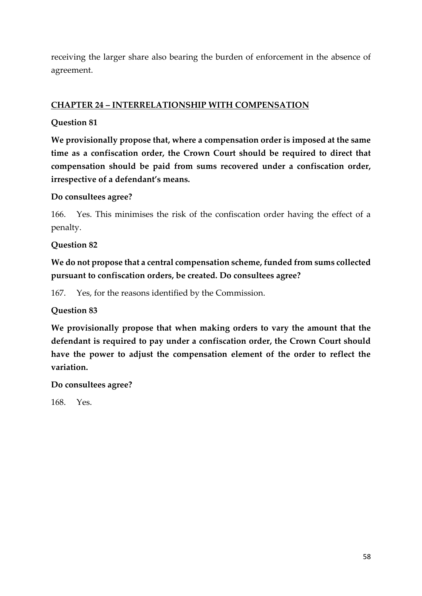receiving the larger share also bearing the burden of enforcement in the absence of agreement.

## **CHAPTER 24 – INTERRELATIONSHIP WITH COMPENSATION**

### **Question 81**

**We provisionally propose that, where a compensation order is imposed at the same time as a confiscation order, the Crown Court should be required to direct that compensation should be paid from sums recovered under a confiscation order, irrespective of a defendant's means.**

#### **Do consultees agree?**

166. Yes. This minimises the risk of the confiscation order having the effect of a penalty.

**Question 82**

**We do not propose that a central compensation scheme, funded from sums collected pursuant to confiscation orders, be created. Do consultees agree?**

167. Yes, for the reasons identified by the Commission.

**Question 83**

**We provisionally propose that when making orders to vary the amount that the defendant is required to pay under a confiscation order, the Crown Court should have the power to adjust the compensation element of the order to reflect the variation.**

**Do consultees agree?**

168. Yes.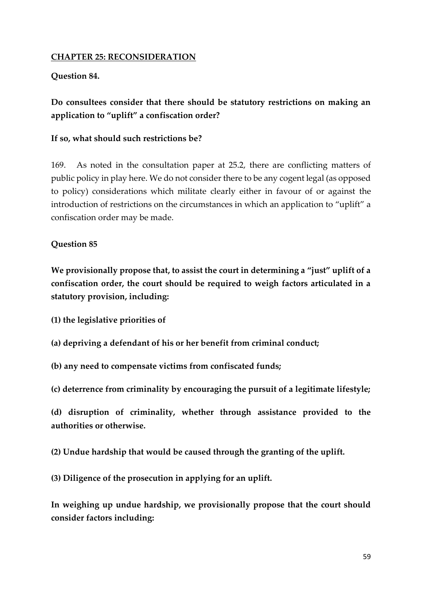#### **CHAPTER 25: RECONSIDERATION**

#### **Question 84.**

# **Do consultees consider that there should be statutory restrictions on making an application to "uplift" a confiscation order?**

#### **If so, what should such restrictions be?**

169. As noted in the consultation paper at 25.2, there are conflicting matters of public policy in play here. We do not consider there to be any cogent legal (as opposed to policy) considerations which militate clearly either in favour of or against the introduction of restrictions on the circumstances in which an application to "uplift" a confiscation order may be made.

#### **Question 85**

**We provisionally propose that, to assist the court in determining a "just" uplift of a confiscation order, the court should be required to weigh factors articulated in a statutory provision, including:** 

**(1) the legislative priorities of** 

- **(a) depriving a defendant of his or her benefit from criminal conduct;**
- **(b) any need to compensate victims from confiscated funds;**
- **(c) deterrence from criminality by encouraging the pursuit of a legitimate lifestyle;**

**(d) disruption of criminality, whether through assistance provided to the authorities or otherwise.** 

**(2) Undue hardship that would be caused through the granting of the uplift.** 

**(3) Diligence of the prosecution in applying for an uplift.** 

**In weighing up undue hardship, we provisionally propose that the court should consider factors including:**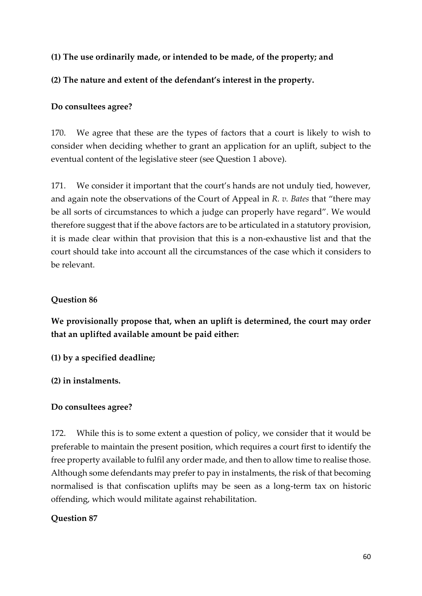## **(1) The use ordinarily made, or intended to be made, of the property; and**

### **(2) The nature and extent of the defendant's interest in the property.**

#### **Do consultees agree?**

170. We agree that these are the types of factors that a court is likely to wish to consider when deciding whether to grant an application for an uplift, subject to the eventual content of the legislative steer (see Question 1 above).

171. We consider it important that the court's hands are not unduly tied, however, and again note the observations of the Court of Appeal in *R. v. Bates* that "there may be all sorts of circumstances to which a judge can properly have regard". We would therefore suggest that if the above factors are to be articulated in a statutory provision, it is made clear within that provision that this is a non-exhaustive list and that the court should take into account all the circumstances of the case which it considers to be relevant.

#### **Question 86**

**We provisionally propose that, when an uplift is determined, the court may order that an uplifted available amount be paid either:** 

**(1) by a specified deadline;** 

**(2) in instalments.** 

#### **Do consultees agree?**

172. While this is to some extent a question of policy, we consider that it would be preferable to maintain the present position, which requires a court first to identify the free property available to fulfil any order made, and then to allow time to realise those. Although some defendants may prefer to pay in instalments, the risk of that becoming normalised is that confiscation uplifts may be seen as a long-term tax on historic offending, which would militate against rehabilitation.

#### **Question 87**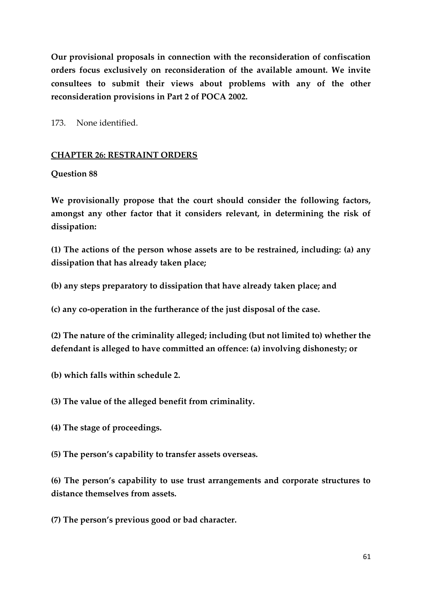**Our provisional proposals in connection with the reconsideration of confiscation orders focus exclusively on reconsideration of the available amount. We invite consultees to submit their views about problems with any of the other reconsideration provisions in Part 2 of POCA 2002.** 

173. None identified.

#### **CHAPTER 26: RESTRAINT ORDERS**

#### **Question 88**

**We provisionally propose that the court should consider the following factors, amongst any other factor that it considers relevant, in determining the risk of dissipation:** 

**(1) The actions of the person whose assets are to be restrained, including: (a) any dissipation that has already taken place;** 

**(b) any steps preparatory to dissipation that have already taken place; and** 

**(c) any co-operation in the furtherance of the just disposal of the case.** 

**(2) The nature of the criminality alleged; including (but not limited to) whether the defendant is alleged to have committed an offence: (a) involving dishonesty; or** 

- **(b) which falls within schedule 2.**
- **(3) The value of the alleged benefit from criminality.**
- **(4) The stage of proceedings.**

**(5) The person's capability to transfer assets overseas.** 

**(6) The person's capability to use trust arrangements and corporate structures to distance themselves from assets.** 

**(7) The person's previous good or bad character.**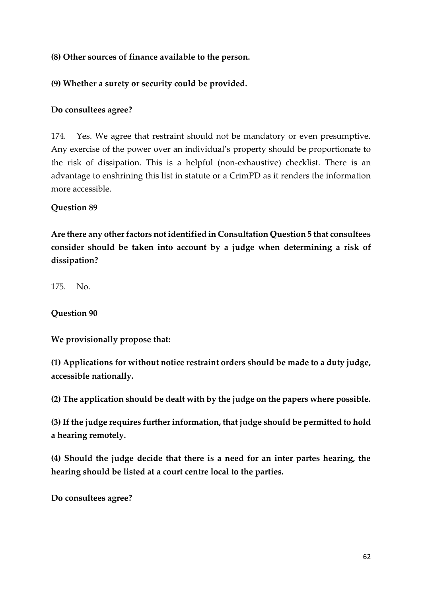## **(8) Other sources of finance available to the person.**

### **(9) Whether a surety or security could be provided.**

#### **Do consultees agree?**

174. Yes. We agree that restraint should not be mandatory or even presumptive. Any exercise of the power over an individual's property should be proportionate to the risk of dissipation. This is a helpful (non-exhaustive) checklist. There is an advantage to enshrining this list in statute or a CrimPD as it renders the information more accessible.

#### **Question 89**

**Are there any other factors not identified in Consultation Question 5 that consultees consider should be taken into account by a judge when determining a risk of dissipation?** 

175. No.

**Question 90**

**We provisionally propose that:** 

**(1) Applications for without notice restraint orders should be made to a duty judge, accessible nationally.** 

**(2) The application should be dealt with by the judge on the papers where possible.** 

**(3) If the judge requires further information, that judge should be permitted to hold a hearing remotely.** 

**(4) Should the judge decide that there is a need for an inter partes hearing, the hearing should be listed at a court centre local to the parties.** 

**Do consultees agree?**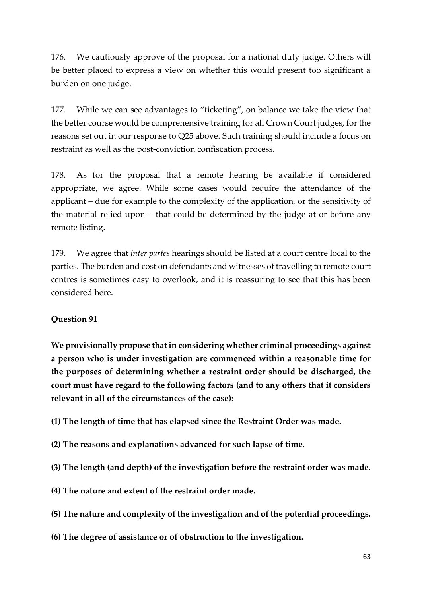176. We cautiously approve of the proposal for a national duty judge. Others will be better placed to express a view on whether this would present too significant a burden on one judge.

177. While we can see advantages to "ticketing", on balance we take the view that the better course would be comprehensive training for all Crown Court judges, for the reasons set out in our response to Q25 above. Such training should include a focus on restraint as well as the post-conviction confiscation process.

178. As for the proposal that a remote hearing be available if considered appropriate, we agree. While some cases would require the attendance of the applicant – due for example to the complexity of the application, or the sensitivity of the material relied upon – that could be determined by the judge at or before any remote listing.

179. We agree that *inter partes* hearings should be listed at a court centre local to the parties. The burden and cost on defendants and witnesses of travelling to remote court centres is sometimes easy to overlook, and it is reassuring to see that this has been considered here.

#### **Question 91**

**We provisionally propose that in considering whether criminal proceedings against a person who is under investigation are commenced within a reasonable time for the purposes of determining whether a restraint order should be discharged, the court must have regard to the following factors (and to any others that it considers relevant in all of the circumstances of the case):** 

**(1) The length of time that has elapsed since the Restraint Order was made.** 

- **(2) The reasons and explanations advanced for such lapse of time.**
- **(3) The length (and depth) of the investigation before the restraint order was made.**
- **(4) The nature and extent of the restraint order made.**
- **(5) The nature and complexity of the investigation and of the potential proceedings.**
- **(6) The degree of assistance or of obstruction to the investigation.**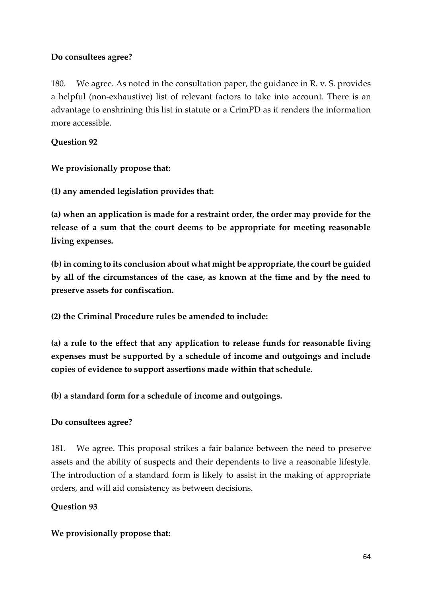## **Do consultees agree?**

180. We agree. As noted in the consultation paper, the guidance in R. v. S. provides a helpful (non-exhaustive) list of relevant factors to take into account. There is an advantage to enshrining this list in statute or a CrimPD as it renders the information more accessible.

# **Question 92**

**We provisionally propose that:** 

**(1) any amended legislation provides that:** 

**(a) when an application is made for a restraint order, the order may provide for the release of a sum that the court deems to be appropriate for meeting reasonable living expenses.** 

**(b) in coming to its conclusion about what might be appropriate, the court be guided by all of the circumstances of the case, as known at the time and by the need to preserve assets for confiscation.** 

**(2) the Criminal Procedure rules be amended to include:** 

**(a) a rule to the effect that any application to release funds for reasonable living expenses must be supported by a schedule of income and outgoings and include copies of evidence to support assertions made within that schedule.** 

**(b) a standard form for a schedule of income and outgoings.** 

# **Do consultees agree?**

181. We agree. This proposal strikes a fair balance between the need to preserve assets and the ability of suspects and their dependents to live a reasonable lifestyle. The introduction of a standard form is likely to assist in the making of appropriate orders, and will aid consistency as between decisions.

# **Question 93**

#### **We provisionally propose that:**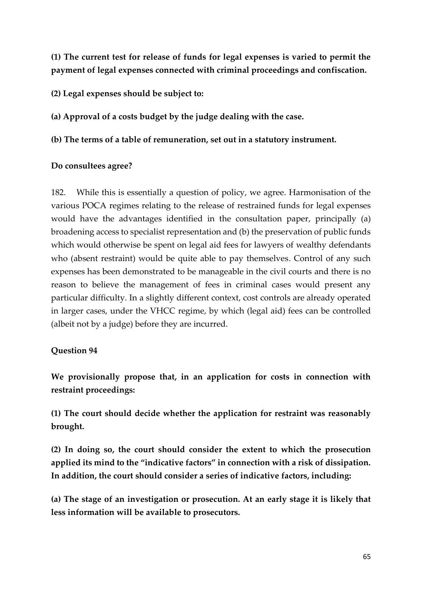**(1) The current test for release of funds for legal expenses is varied to permit the payment of legal expenses connected with criminal proceedings and confiscation.** 

**(2) Legal expenses should be subject to:** 

**(a) Approval of a costs budget by the judge dealing with the case.** 

**(b) The terms of a table of remuneration, set out in a statutory instrument.** 

#### **Do consultees agree?**

182. While this is essentially a question of policy, we agree. Harmonisation of the various POCA regimes relating to the release of restrained funds for legal expenses would have the advantages identified in the consultation paper, principally (a) broadening access to specialist representation and (b) the preservation of public funds which would otherwise be spent on legal aid fees for lawyers of wealthy defendants who (absent restraint) would be quite able to pay themselves. Control of any such expenses has been demonstrated to be manageable in the civil courts and there is no reason to believe the management of fees in criminal cases would present any particular difficulty. In a slightly different context, cost controls are already operated in larger cases, under the VHCC regime, by which (legal aid) fees can be controlled (albeit not by a judge) before they are incurred.

#### **Question 94**

**We provisionally propose that, in an application for costs in connection with restraint proceedings:** 

**(1) The court should decide whether the application for restraint was reasonably brought.** 

**(2) In doing so, the court should consider the extent to which the prosecution applied its mind to the "indicative factors" in connection with a risk of dissipation. In addition, the court should consider a series of indicative factors, including:** 

**(a) The stage of an investigation or prosecution. At an early stage it is likely that less information will be available to prosecutors.**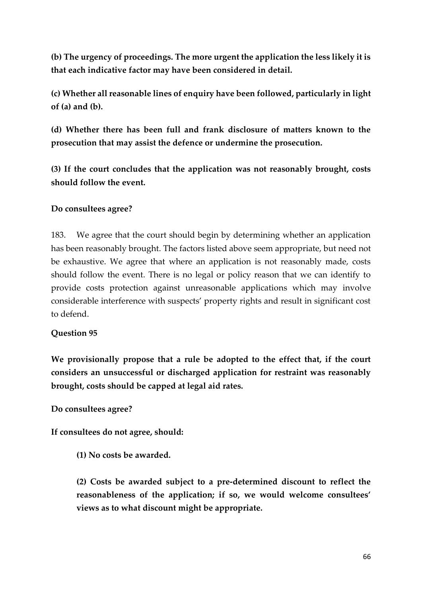**(b) The urgency of proceedings. The more urgent the application the less likely it is that each indicative factor may have been considered in detail.** 

**(c) Whether all reasonable lines of enquiry have been followed, particularly in light of (a) and (b).** 

**(d) Whether there has been full and frank disclosure of matters known to the prosecution that may assist the defence or undermine the prosecution.** 

**(3) If the court concludes that the application was not reasonably brought, costs should follow the event.** 

## **Do consultees agree?**

183. We agree that the court should begin by determining whether an application has been reasonably brought. The factors listed above seem appropriate, but need not be exhaustive. We agree that where an application is not reasonably made, costs should follow the event. There is no legal or policy reason that we can identify to provide costs protection against unreasonable applications which may involve considerable interference with suspects' property rights and result in significant cost to defend.

#### **Question 95**

**We provisionally propose that a rule be adopted to the effect that, if the court considers an unsuccessful or discharged application for restraint was reasonably brought, costs should be capped at legal aid rates.** 

**Do consultees agree?** 

**If consultees do not agree, should:** 

**(1) No costs be awarded.** 

**(2) Costs be awarded subject to a pre-determined discount to reflect the reasonableness of the application; if so, we would welcome consultees' views as to what discount might be appropriate.**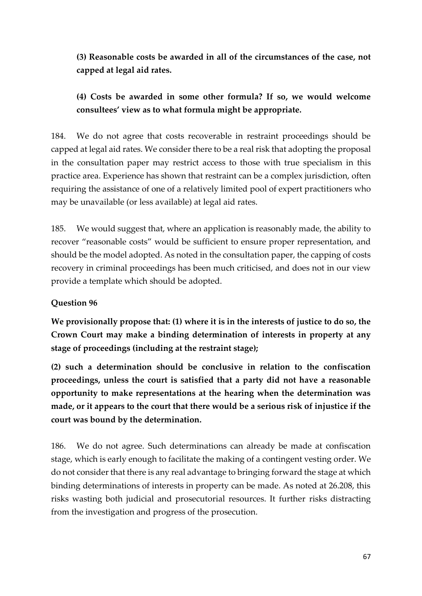**(3) Reasonable costs be awarded in all of the circumstances of the case, not capped at legal aid rates.** 

# **(4) Costs be awarded in some other formula? If so, we would welcome consultees' view as to what formula might be appropriate.**

184. We do not agree that costs recoverable in restraint proceedings should be capped at legal aid rates. We consider there to be a real risk that adopting the proposal in the consultation paper may restrict access to those with true specialism in this practice area. Experience has shown that restraint can be a complex jurisdiction, often requiring the assistance of one of a relatively limited pool of expert practitioners who may be unavailable (or less available) at legal aid rates.

185. We would suggest that, where an application is reasonably made, the ability to recover "reasonable costs" would be sufficient to ensure proper representation, and should be the model adopted. As noted in the consultation paper, the capping of costs recovery in criminal proceedings has been much criticised, and does not in our view provide a template which should be adopted.

## **Question 96**

**We provisionally propose that: (1) where it is in the interests of justice to do so, the Crown Court may make a binding determination of interests in property at any stage of proceedings (including at the restraint stage);** 

**(2) such a determination should be conclusive in relation to the confiscation proceedings, unless the court is satisfied that a party did not have a reasonable opportunity to make representations at the hearing when the determination was made, or it appears to the court that there would be a serious risk of injustice if the court was bound by the determination.** 

186. We do not agree. Such determinations can already be made at confiscation stage, which is early enough to facilitate the making of a contingent vesting order. We do not consider that there is any real advantage to bringing forward the stage at which binding determinations of interests in property can be made. As noted at 26.208, this risks wasting both judicial and prosecutorial resources. It further risks distracting from the investigation and progress of the prosecution.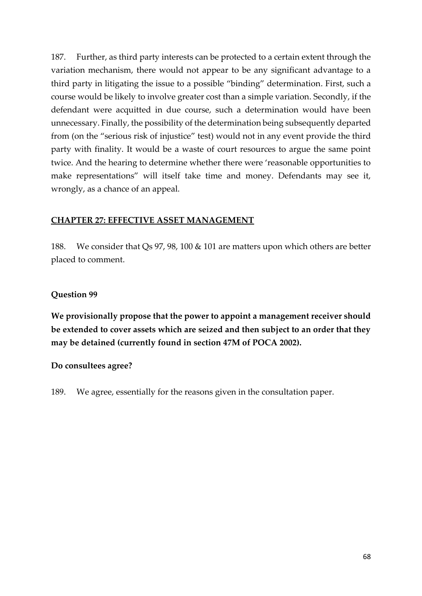187. Further, as third party interests can be protected to a certain extent through the variation mechanism, there would not appear to be any significant advantage to a third party in litigating the issue to a possible "binding" determination. First, such a course would be likely to involve greater cost than a simple variation. Secondly, if the defendant were acquitted in due course, such a determination would have been unnecessary. Finally, the possibility of the determination being subsequently departed from (on the "serious risk of injustice" test) would not in any event provide the third party with finality. It would be a waste of court resources to argue the same point twice. And the hearing to determine whether there were 'reasonable opportunities to make representations" will itself take time and money. Defendants may see it, wrongly, as a chance of an appeal.

#### **CHAPTER 27: EFFECTIVE ASSET MANAGEMENT**

188. We consider that Qs 97, 98, 100 & 101 are matters upon which others are better placed to comment.

#### **Question 99**

**We provisionally propose that the power to appoint a management receiver should be extended to cover assets which are seized and then subject to an order that they may be detained (currently found in section 47M of POCA 2002).** 

#### **Do consultees agree?**

189. We agree, essentially for the reasons given in the consultation paper.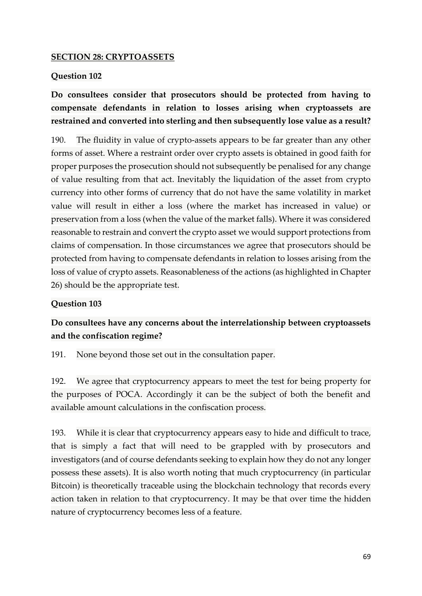#### **SECTION 28: CRYPTOASSETS**

#### **Question 102**

# **Do consultees consider that prosecutors should be protected from having to compensate defendants in relation to losses arising when cryptoassets are restrained and converted into sterling and then subsequently lose value as a result?**

190. The fluidity in value of crypto-assets appears to be far greater than any other forms of asset. Where a restraint order over crypto assets is obtained in good faith for proper purposes the prosecution should not subsequently be penalised for any change of value resulting from that act. Inevitably the liquidation of the asset from crypto currency into other forms of currency that do not have the same volatility in market value will result in either a loss (where the market has increased in value) or preservation from a loss (when the value of the market falls). Where it was considered reasonable to restrain and convert the crypto asset we would support protections from claims of compensation. In those circumstances we agree that prosecutors should be protected from having to compensate defendants in relation to losses arising from the loss of value of crypto assets. Reasonableness of the actions (as highlighted in Chapter 26) should be the appropriate test.

#### **Question 103**

# **Do consultees have any concerns about the interrelationship between cryptoassets and the confiscation regime?**

191. None beyond those set out in the consultation paper.

192. We agree that cryptocurrency appears to meet the test for being property for the purposes of POCA. Accordingly it can be the subject of both the benefit and available amount calculations in the confiscation process.

193. While it is clear that cryptocurrency appears easy to hide and difficult to trace, that is simply a fact that will need to be grappled with by prosecutors and investigators (and of course defendants seeking to explain how they do not any longer possess these assets). It is also worth noting that much cryptocurrency (in particular Bitcoin) is theoretically traceable using the blockchain technology that records every action taken in relation to that cryptocurrency. It may be that over time the hidden nature of cryptocurrency becomes less of a feature.